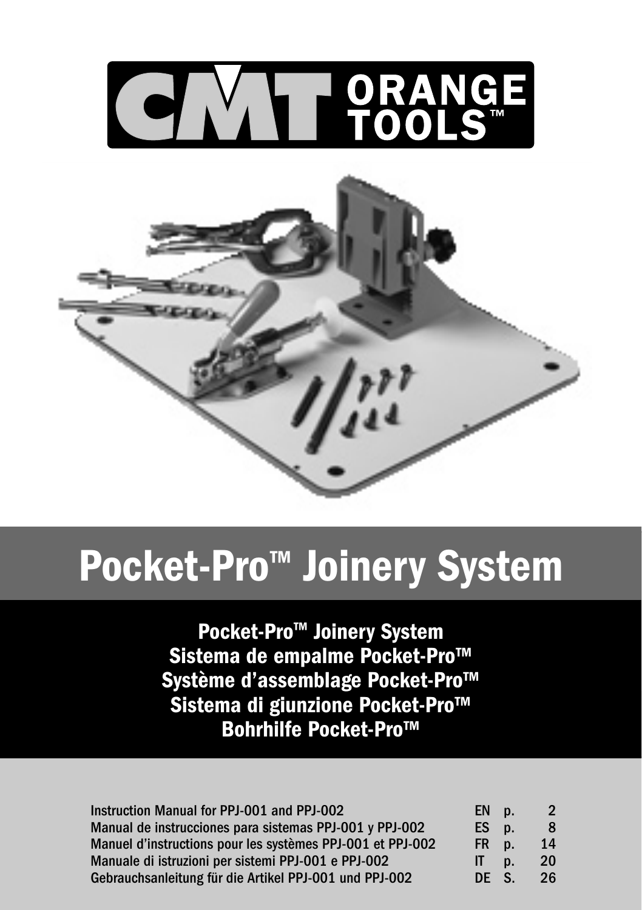

# Pocket-Pro<sup>™</sup> Joinery System

Pocket-Pro™ Joinery System Sistema de empalme Pocket-Pro™ Système d'assemblage Pocket-Pro™ Sistema di giunzione Pocket-Pro™ Bohrhilfe Pocket-Pro™

| Instruction Manual for PPJ-001 and PPJ-002                 | EN p.        |    |    |
|------------------------------------------------------------|--------------|----|----|
| Manual de instrucciones para sistemas PPJ-001 y PPJ-002    | ES p.        |    | 8  |
| Manuel d'instructions pour les systèmes PPJ-001 et PPJ-002 | FR p.        |    | 14 |
| Manuale di istruzioni per sistemi PPJ-001 e PPJ-002        | $\mathbf{H}$ | D. | 20 |
| Gebrauchsanleitung für die Artikel PPJ-001 und PPJ-002     | DE S.        |    | 26 |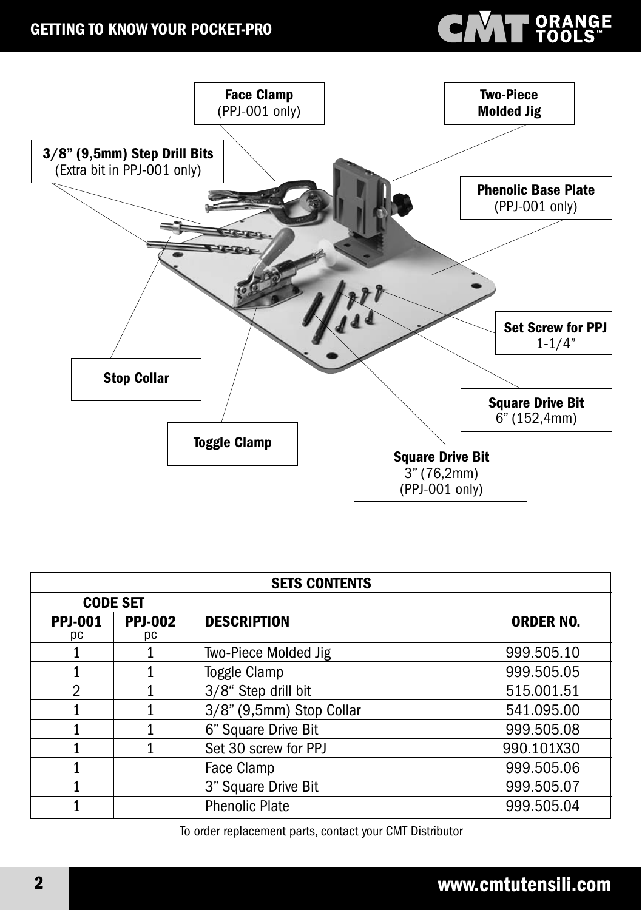#### GETTING TO KNOW YOUR POCKET-PRO

# **CMT** SRANGE



| <b>SETS CONTENTS</b> |                      |                          |                  |
|----------------------|----------------------|--------------------------|------------------|
| <b>CODE SET</b>      |                      |                          |                  |
| <b>PPJ-001</b><br>рc | <b>PPJ-002</b><br>pс | <b>DESCRIPTION</b>       | <b>ORDER NO.</b> |
|                      |                      | Two-Piece Molded Jig     | 999.505.10       |
|                      |                      | Toggle Clamp             | 999.505.05       |
| $\mathcal{P}$        |                      | 3/8" Step drill bit      | 515.001.51       |
|                      |                      | 3/8" (9,5mm) Stop Collar | 541.095.00       |
|                      |                      | 6" Square Drive Bit      | 999.505.08       |
|                      |                      | Set 30 screw for PPJ     | 990.101X30       |
|                      |                      | Face Clamp               | 999.505.06       |
|                      |                      | 3" Square Drive Bit      | 999.505.07       |
|                      |                      | <b>Phenolic Plate</b>    | 999.505.04       |

To order replacement parts, contact your CMT Distributor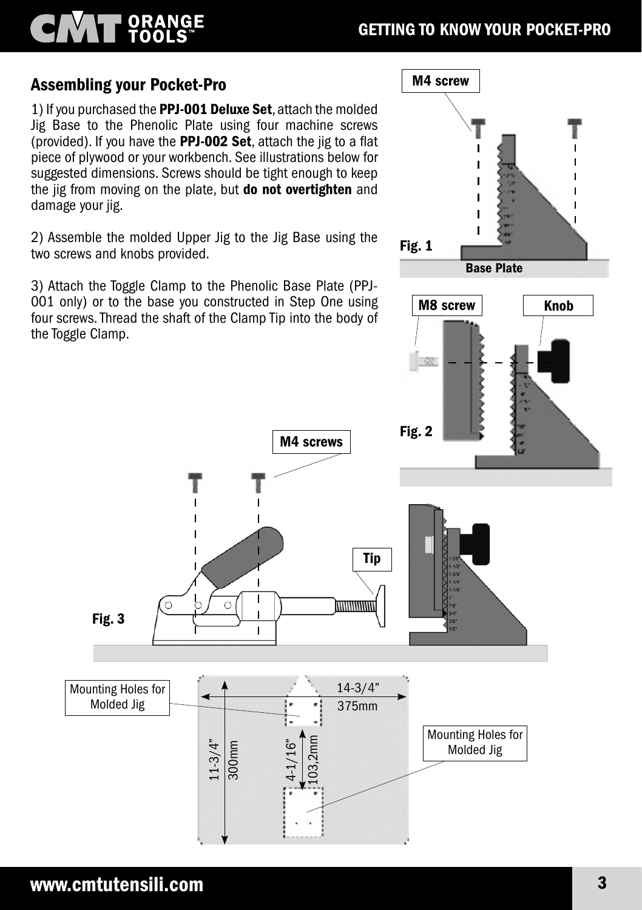# ORANGE<br>TOOLS

### Assembling your Pocket-Pro

1) If you purchased the PPJ-001 Deluxe Set, attach the molded Jig Base to the Phenolic Plate using four machine screws (provided). If you have the PPJ-002 Set, attach the jig to a flat piece of plywood or your workbench. See illustrations below for suggested dimensions. Screws should be tight enough to keep the jig from moving on the plate, but **do not overtighten** and damage your jig.

2) Assemble the molded Upper Jig to the Jig Base using the two screws and knobs provided.

3) Attach the Toggle Clamp to the Phenolic Base Plate (PPJ-001 only) or to the base you constructed in Step One using four screws. Thread the shaft of the Clamp Tip into the body of the Toggle Clamp.



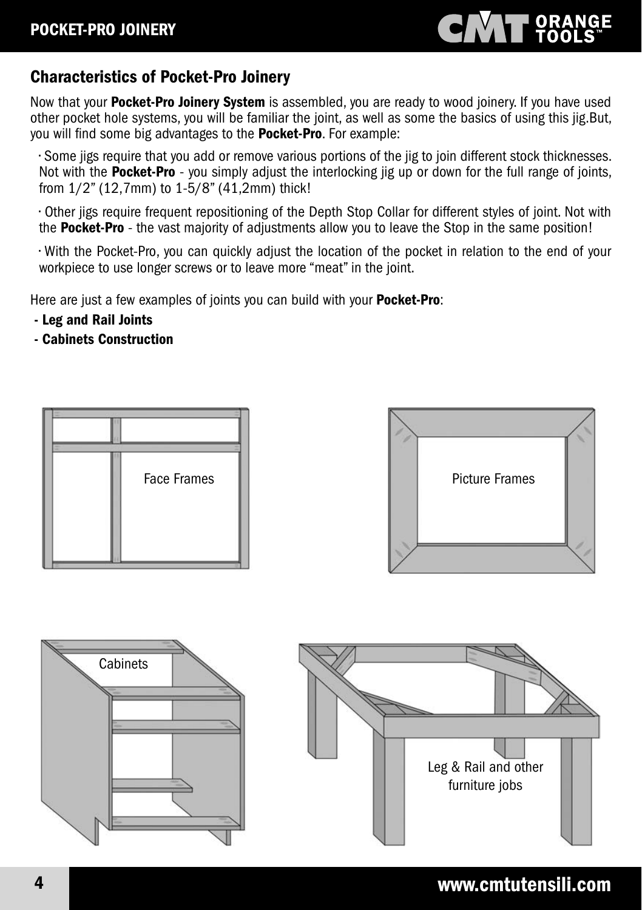# **CINAT ORANGE**

### Characteristics of Pocket-Pro Joinery

Now that your **Pocket-Pro Joinery System** is assembled, you are ready to wood joinery. If you have used other pocket hole systems, you will be familiar the joint, as well as some the basics of using this jig.But, you will find some big advantages to the **Pocket-Pro**. For example:

• Some jigs require that you add or remove various portions of the jig to join different stock thicknesses. Not with the **Pocket-Pro** - you simply adjust the interlocking jig up or down for the full range of joints, from 1/2" (12,7mm) to 1-5/8" (41,2mm) thick!

• Other jigs require frequent repositioning of the Depth Stop Collar for different styles of joint. Not with the Pocket-Pro - the vast majority of adjustments allow you to leave the Stop in the same position!

• With the Pocket-Pro, you can quickly adjust the location of the pocket in relation to the end of your workpiece to use longer screws or to leave more "meat" in the joint.

Here are just a few examples of joints you can build with your **Pocket-Pro**:

- Leg and Rail Joints
- Cabinets Construction







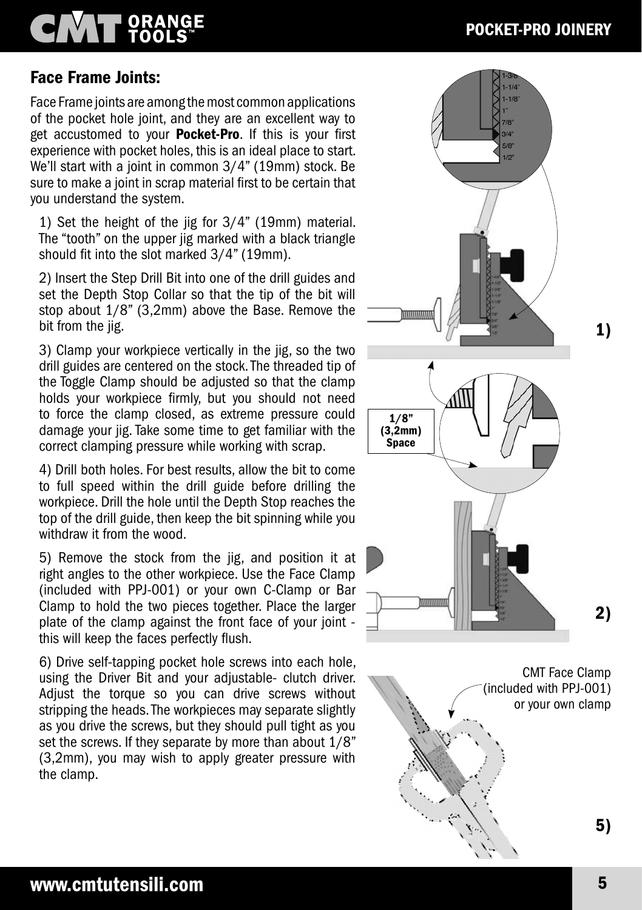### POCKET-PRO JOINERY

#### Face Frame Joints:

Face Frame joints are among the most common applications of the pocket hole joint, and they are an excellent way to get accustomed to your **Pocket-Pro**. If this is your first experience with pocket holes, this is an ideal place to start. We'll start with a joint in common 3/4" (19mm) stock. Be sure to make a joint in scrap material first to be certain that you understand the system.

1) Set the height of the jig for 3/4" (19mm) material. The "tooth" on the upper jig marked with a black triangle should fit into the slot marked 3/4" (19mm).

2) Insert the Step Drill Bit into one of the drill guides and set the Depth Stop Collar so that the tip of the bit will stop about 1/8" (3,2mm) above the Base. Remove the bit from the jig.

3) Clamp your workpiece vertically in the jig, so the two drill guides are centered on the stock. The threaded tip of the Toggle Clamp should be adjusted so that the clamp holds your workpiece firmly, but you should not need to force the clamp closed, as extreme pressure could damage your jig. Take some time to get familiar with the correct clamping pressure while working with scrap.

4) Drill both holes. For best results, allow the bit to come to full speed within the drill guide before drilling the workpiece. Drill the hole until the Depth Stop reaches the top of the drill guide, then keep the bit spinning while you withdraw it from the wood.

5) Remove the stock from the jig, and position it at right angles to the other workpiece. Use the Face Clamp (included with PPJ-001) or your own C-Clamp or Bar Clamp to hold the two pieces together. Place the larger plate of the clamp against the front face of your joint this will keep the faces perfectly flush.

6) Drive self-tapping pocket hole screws into each hole, using the Driver Bit and your adjustable- clutch driver. Adjust the torque so you can drive screws without stripping the heads. The workpieces may separate slightly as you drive the screws, but they should pull tight as you set the screws. If they separate by more than about 1/8" (3,2mm), you may wish to apply greater pressure with the clamp.



CMT Face Clamp (included with PPJ-001) or your own clamp 5)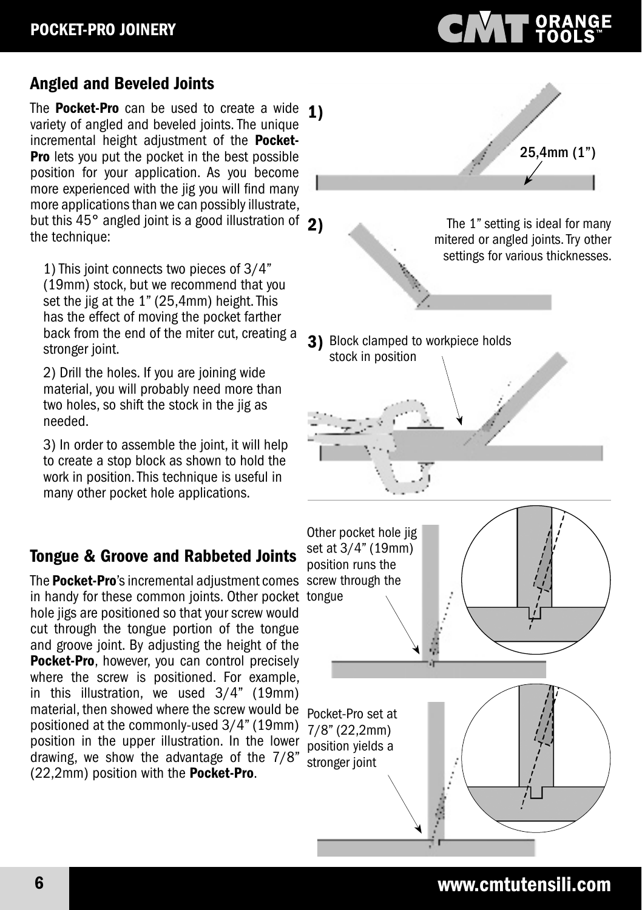### Angled and Beveled Joints

The **Pocket-Pro** can be used to create a wide  $\mathbf{1}$ ) variety of angled and beveled joints. The unique incremental height adjustment of the **Pocket-Pro** lets you put the pocket in the best possible position for your application. As you become more experienced with the jig you will find many more applications than we can possibly illustrate, but this 45° angled joint is a good illustration of 2) the technique:

1) This joint connects two pieces of 3/4" (19mm) stock, but we recommend that you set the jig at the 1" (25,4mm) height. This has the effect of moving the pocket farther back from the end of the miter cut, creating a stronger joint.

2) Drill the holes. If you are joining wide material, you will probably need more than two holes, so shift the stock in the jig as needed.

3) In order to assemble the joint, it will help to create a stop block as shown to hold the work in position. This technique is useful in many other pocket hole applications.

### Tongue & Groove and Rabbeted Joints

The Pocket-Pro's incremental adjustment comes screw through the in handy for these common joints. Other pocket tongue hole jigs are positioned so that your screw would cut through the tongue portion of the tongue and groove joint. By adjusting the height of the Pocket-Pro, however, you can control precisely where the screw is positioned. For example, in this illustration, we used 3/4" (19mm) material, then showed where the screw would be positioned at the commonly-used 3/4" (19mm) position in the upper illustration. In the lower drawing, we show the advantage of the 7/8" (22,2mm) position with the Pocket-Pro.

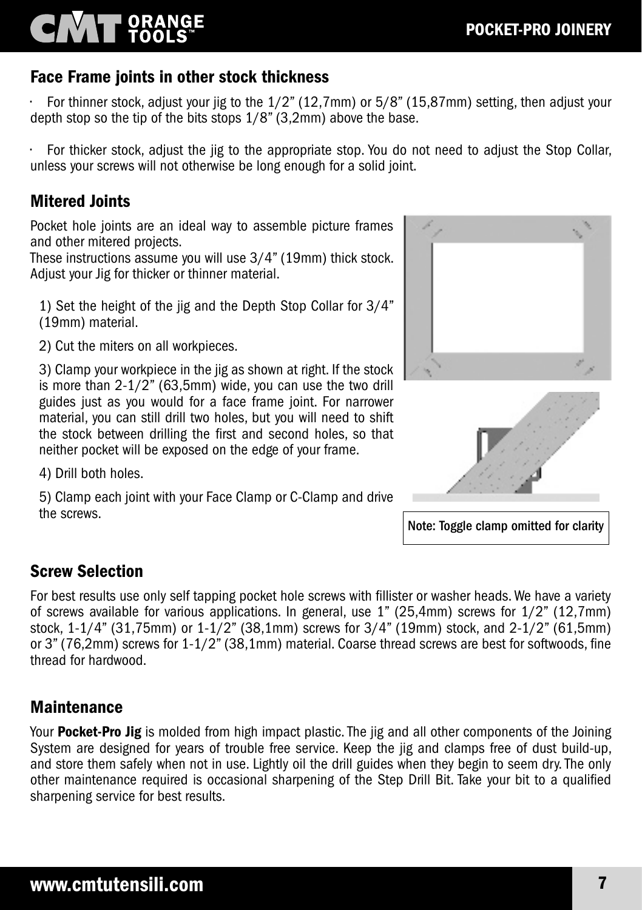### Face Frame joints in other stock thickness

• For thinner stock, adjust your jig to the 1/2" (12,7mm) or 5/8" (15,87mm) setting, then adjust your depth stop so the tip of the bits stops 1/8" (3,2mm) above the base.

• For thicker stock, adjust the jig to the appropriate stop. You do not need to adjust the Stop Collar, unless your screws will not otherwise be long enough for a solid joint.

#### Mitered Joints

Pocket hole joints are an ideal way to assemble picture frames and other mitered projects.

These instructions assume you will use 3/4" (19mm) thick stock. Adjust your Jig for thicker or thinner material.

1) Set the height of the jig and the Depth Stop Collar for 3/4" (19mm) material.

2) Cut the miters on all workpieces.

3) Clamp your workpiece in the jig as shown at right. If the stock is more than 2-1/2" (63,5mm) wide, you can use the two drill guides just as you would for a face frame joint. For narrower material, you can still drill two holes, but you will need to shift the stock between drilling the first and second holes, so that neither pocket will be exposed on the edge of your frame.

4) Drill both holes.

5) Clamp each joint with your Face Clamp or C-Clamp and drive the screws.





Note: Toggle clamp omitted for clarity

#### Screw Selection

For best results use only self tapping pocket hole screws with fillister or washer heads. We have a variety of screws available for various applications. In general, use 1" (25,4mm) screws for 1/2" (12,7mm) stock, 1-1/4" (31,75mm) or 1-1/2" (38,1mm) screws for 3/4" (19mm) stock, and 2-1/2" (61,5mm) or 3" (76,2mm) screws for 1-1/2" (38,1mm) material. Coarse thread screws are best for softwoods, fine thread for hardwood.

#### Maintenance

Your Pocket-Pro Jig is molded from high impact plastic. The jig and all other components of the Joining System are designed for years of trouble free service. Keep the jig and clamps free of dust build-up, and store them safely when not in use. Lightly oil the drill guides when they begin to seem dry. The only other maintenance required is occasional sharpening of the Step Drill Bit. Take your bit to a qualified sharpening service for best results.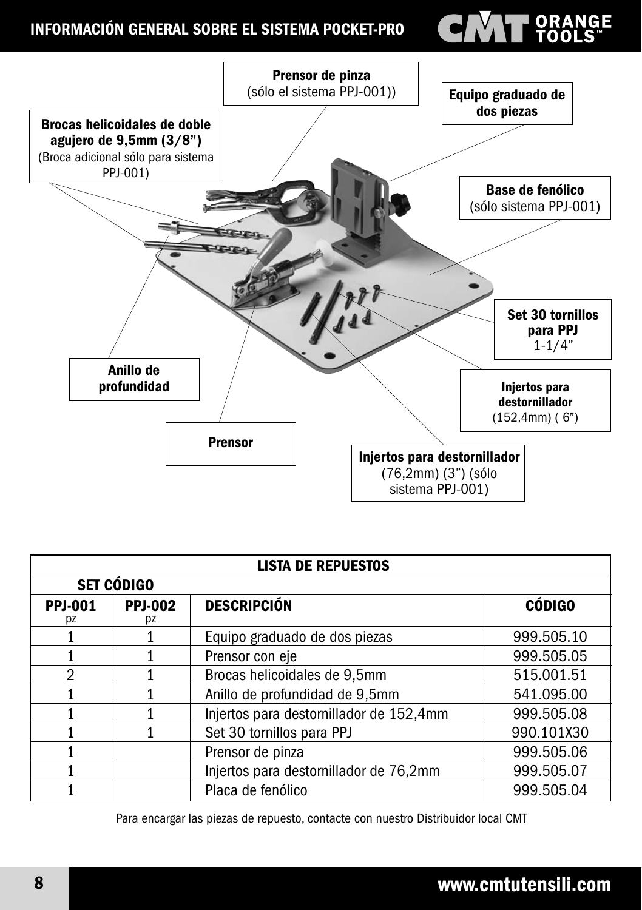#### INFORMACIÓN GENERAL SOBRE EL SISTEMA POCKET-PRO

# **VAL ORANGE**



| <b>LISTA DE REPUESTOS</b> |                      |                                         |               |
|---------------------------|----------------------|-----------------------------------------|---------------|
| <b>SET CÓDIGO</b>         |                      |                                         |               |
| <b>PPJ-001</b><br>pz      | <b>PPJ-002</b><br>рz | <b>DESCRIPCIÓN</b>                      | <b>CÓDIGO</b> |
|                           |                      | Equipo graduado de dos piezas           | 999.505.10    |
|                           |                      | Prensor con eje                         | 999.505.05    |
| 2                         |                      | Brocas helicoidales de 9,5mm            | 515.001.51    |
|                           |                      | Anillo de profundidad de 9,5mm          | 541.095.00    |
|                           |                      | Injertos para destornillador de 152,4mm | 999.505.08    |
|                           |                      | Set 30 tornillos para PPJ               | 990.101X30    |
|                           |                      | Prensor de pinza                        | 999.505.06    |
|                           |                      | Injertos para destornillador de 76,2mm  | 999.505.07    |
|                           |                      | Placa de fenólico                       | 999.505.04    |

Para encargar las piezas de repuesto, contacte con nuestro Distribuidor local CMT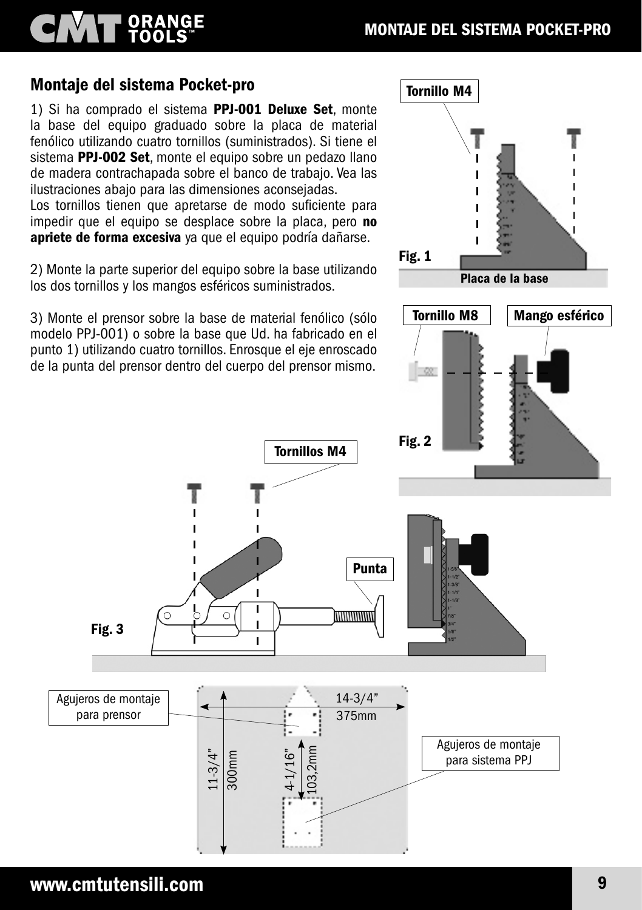#### Montaje del sistema Pocket-pro

**NATT ORANGE** 

1) Si ha comprado el sistema PPJ-001 Deluxe Set, monte la base del equipo graduado sobre la placa de material fenólico utilizando cuatro tornillos (suministrados). Si tiene el sistema PPJ-002 Set, monte el equipo sobre un pedazo llano de madera contrachapada sobre el banco de trabajo. Vea las ilustraciones abajo para las dimensiones aconsejadas.

Los tornillos tienen que apretarse de modo suficiente para impedir que el equipo se desplace sobre la placa, pero no apriete de forma excesiva ya que el equipo podría dañarse.

2) Monte la parte superior del equipo sobre la base utilizando los dos tornillos y los mangos esféricos suministrados.

3) Monte el prensor sobre la base de material fenólico (sólo modelo PPJ-001) o sobre la base que Ud. ha fabricado en el punto 1) utilizando cuatro tornillos. Enrosque el eje enroscado de la punta del prensor dentro del cuerpo del prensor mismo.

11-3/4"

300mm

4-1/16"

103,2mm

Tornillos M4

Ï

 $\mathbf{I}$ Ï



Agujeros de montaje para prensor

Fig. 3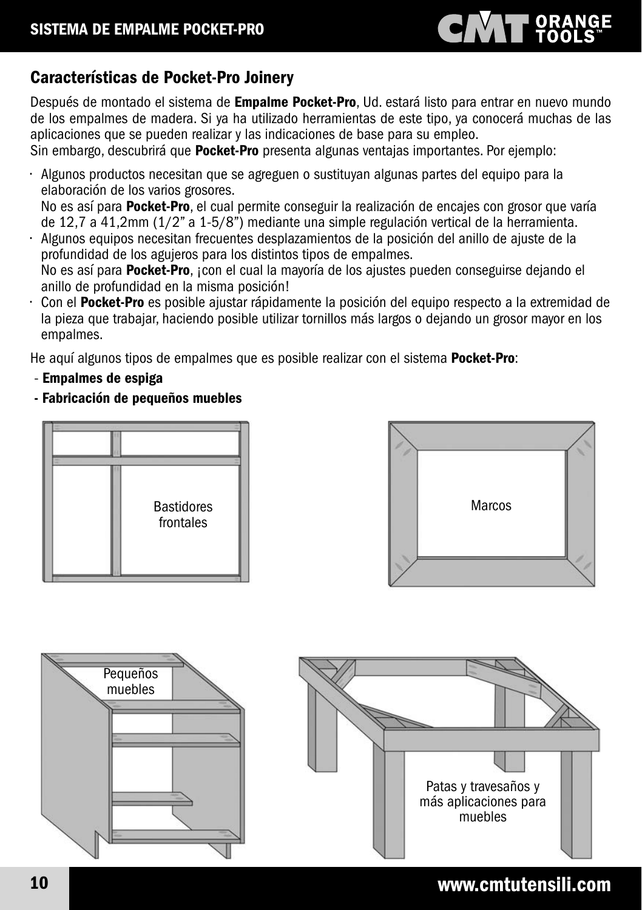# **CINAT ORANGE**

### Características de Pocket-Pro Joinery

Después de montado el sistema de *Empalme Pocket-Pro*, Ud. estará listo para entrar en nuevo mundo de los empalmes de madera. Si ya ha utilizado herramientas de este tipo, ya conocerá muchas de las aplicaciones que se pueden realizar y las indicaciones de base para su empleo.

Sin embargo, descubrirá que **Pocket-Pro** presenta algunas ventajas importantes. Por ejemplo:

• Algunos productos necesitan que se agreguen o sustituyan algunas partes del equipo para la elaboración de los varios grosores.

No es así para **Pocket-Pro**, el cual permite conseguir la realización de encajes con grosor que varía de 12,7 a 41,2mm (1/2" a 1-5/8") mediante una simple regulación vertical de la herramienta.

• Algunos equipos necesitan frecuentes desplazamientos de la posición del anillo de ajuste de la profundidad de los agujeros para los distintos tipos de empalmes. No es así para Pocket-Pro, ¡con el cual la mayoría de los ajustes pueden conseguirse dejando el

anillo de profundidad en la misma posición!

Con el Pocket-Pro es posible ajustar rápidamente la posición del equipo respecto a la extremidad de la pieza que trabajar, haciendo posible utilizar tornillos más largos o dejando un grosor mayor en los empalmes.

He aquí algunos tipos de empalmes que es posible realizar con el sistema **Pocket-Pro**:

- Empalmes de espiga
- Fabricación de pequeños muebles







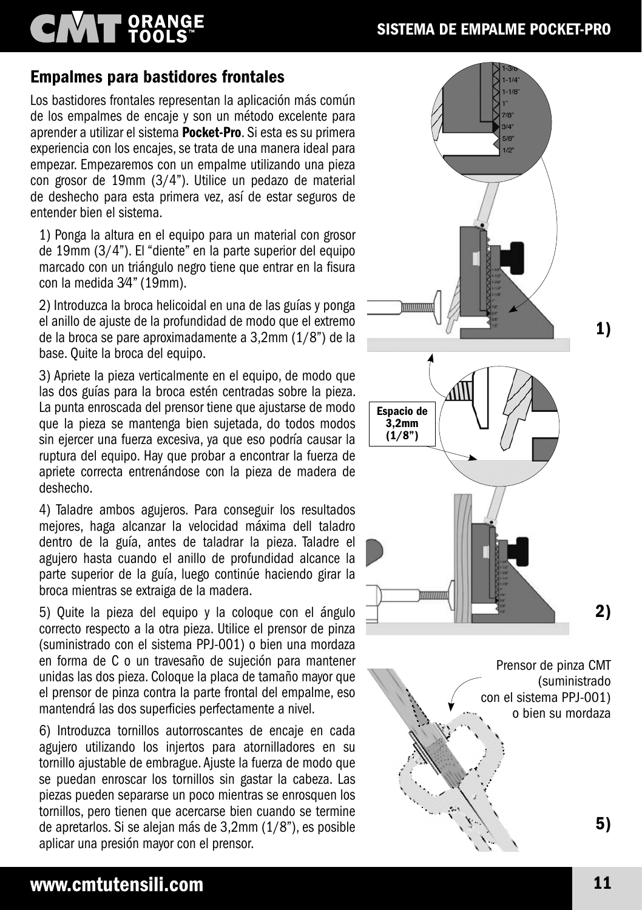# **CMT** ORANGE

#### SISTEMA DE EMPALME POCKET-PRO

#### Empalmes para bastidores frontales

Los bastidores frontales representan la aplicación más común de los empalmes de encaje y son un método excelente para aprender a utilizar el sistema Pocket-Pro. Si esta es su primera experiencia con los encajes, se trata de una manera ideal para empezar. Empezaremos con un empalme utilizando una pieza con grosor de 19mm (3/4"). Utilice un pedazo de material de deshecho para esta primera vez, así de estar seguros de entender bien el sistema.

1) Ponga la altura en el equipo para un material con grosor de 19mm (3/4"). El "diente" en la parte superior del equipo marcado con un triángulo negro tiene que entrar en la fisura con la medida 3⁄4" (19mm).

2) Introduzca la broca helicoidal en una de las guías y ponga el anillo de ajuste de la profundidad de modo que el extremo de la broca se pare aproximadamente a 3,2mm (1/8") de la base. Quite la broca del equipo.

3) Apriete la pieza verticalmente en el equipo, de modo que las dos guías para la broca estén centradas sobre la pieza. La punta enroscada del prensor tiene que ajustarse de modo que la pieza se mantenga bien sujetada, do todos modos sin ejercer una fuerza excesiva, ya que eso podría causar la ruptura del equipo. Hay que probar a encontrar la fuerza de apriete correcta entrenándose con la pieza de madera de deshecho.

4) Taladre ambos agujeros. Para conseguir los resultados mejores, haga alcanzar la velocidad máxima dell taladro dentro de la guía, antes de taladrar la pieza. Taladre el agujero hasta cuando el anillo de profundidad alcance la parte superior de la guía, luego continúe haciendo girar la broca mientras se extraiga de la madera.

5) Quite la pieza del equipo y la coloque con el ángulo correcto respecto a la otra pieza. Utilice el prensor de pinza (suministrado con el sistema PPJ-001) o bien una mordaza en forma de C o un travesaño de sujeción para mantener unidas las dos pieza. Coloque la placa de tamaño mayor que el prensor de pinza contra la parte frontal del empalme, eso mantendrá las dos superficies perfectamente a nivel.

6) Introduzca tornillos autorroscantes de encaje en cada agujero utilizando los injertos para atornilladores en su tornillo ajustable de embrague. Ajuste la fuerza de modo que se puedan enroscar los tornillos sin gastar la cabeza. Las piezas pueden separarse un poco mientras se enrosquen los tornillos, pero tienen que acercarse bien cuando se termine de apretarlos. Si se alejan más de 3,2mm (1/8"), es posible aplicar una presión mayor con el prensor.

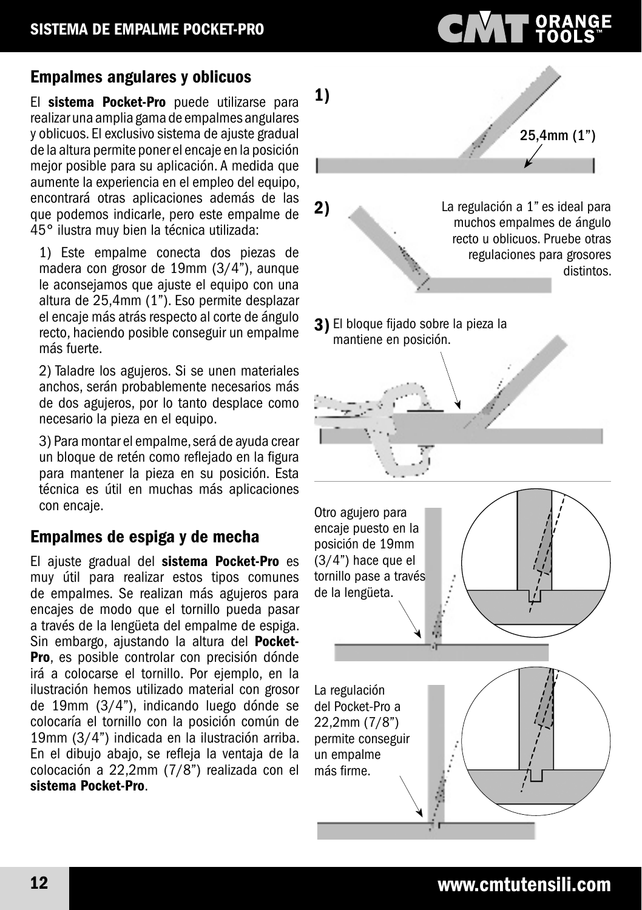#### Empalmes angulares y oblicuos

El sistema Pocket-Pro puede utilizarse para realizar una amplia gama de empalmes angulares y oblicuos. El exclusivo sistema de ajuste gradual de la altura permite poner el encaje en la posición mejor posible para su aplicación. A medida que aumente la experiencia en el empleo del equipo, encontrará otras aplicaciones además de las que podemos indicarle, pero este empalme de 45° ilustra muy bien la técnica utilizada:

1) Este empalme conecta dos piezas de madera con grosor de 19mm (3/4"), aunque le aconsejamos que ajuste el equipo con una altura de 25,4mm (1"). Eso permite desplazar el encaje más atrás respecto al corte de ángulo recto, haciendo posible conseguir un empalme más fuerte.

2) Taladre los agujeros. Si se unen materiales anchos, serán probablemente necesarios más de dos agujeros, por lo tanto desplace como necesario la pieza en el equipo.

3) Para montar el empalme, será de ayuda crear un bloque de retén como reflejado en la figura para mantener la pieza en su posición. Esta técnica es útil en muchas más aplicaciones con encaje.

#### Empalmes de espiga y de mecha

El ajuste gradual del sistema Pocket-Pro es muy útil para realizar estos tipos comunes de empalmes. Se realizan más agujeros para encajes de modo que el tornillo pueda pasar a través de la lengüeta del empalme de espiga. Sin embargo, ajustando la altura del **Pocket-**Pro, es posible controlar con precisión dónde irá a colocarse el tornillo. Por ejemplo, en la ilustración hemos utilizado material con grosor de 19mm (3/4"), indicando luego dónde se colocaría el tornillo con la posición común de 19mm (3/4") indicada en la ilustración arriba. En el dibujo abajo, se refleja la ventaja de la colocación a 22,2mm (7/8") realizada con el sistema Pocket-Pro.



**PORANGE**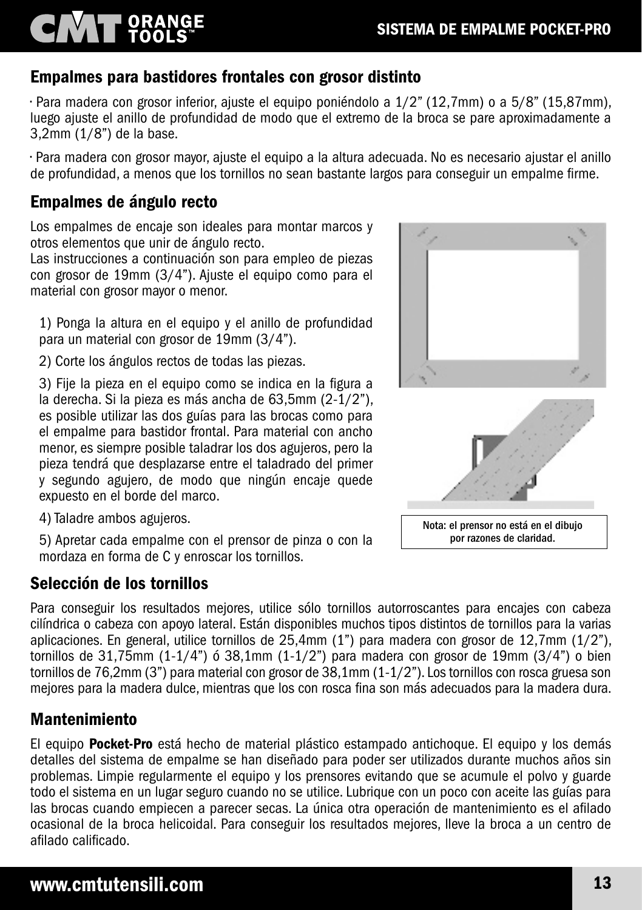#### Empalmes para bastidores frontales con grosor distinto

• Para madera con grosor inferior, ajuste el equipo poniéndolo a 1/2" (12,7mm) o a 5/8" (15,87mm), luego ajuste el anillo de profundidad de modo que el extremo de la broca se pare aproximadamente a 3,2mm (1/8") de la base.

• Para madera con grosor mayor, ajuste el equipo a la altura adecuada. No es necesario ajustar el anillo de profundidad, a menos que los tornillos no sean bastante largos para conseguir un empalme firme.

#### Empalmes de ángulo recto

**NAT ORANGE** 

Los empalmes de encaje son ideales para montar marcos y otros elementos que unir de ángulo recto.

Las instrucciones a continuación son para empleo de piezas con grosor de 19mm (3/4"). Ajuste el equipo como para el material con grosor mayor o menor.

1) Ponga la altura en el equipo y el anillo de profundidad para un material con grosor de 19mm (3/4").

2) Corte los ángulos rectos de todas las piezas.

3) Fije la pieza en el equipo como se indica en la figura a la derecha. Si la pieza es más ancha de 63,5mm (2-1/2"), es posible utilizar las dos guías para las brocas como para el empalme para bastidor frontal. Para material con ancho menor, es siempre posible taladrar los dos agujeros, pero la pieza tendrá que desplazarse entre el taladrado del primer y segundo agujero, de modo que ningún encaje quede expuesto en el borde del marco.

Nota: el prensor no está en el dibujo

por razones de claridad.

4) Taladre ambos agujeros.

5) Apretar cada empalme con el prensor de pinza o con la mordaza en forma de C y enroscar los tornillos.

#### Selección de los tornillos

Para conseguir los resultados mejores, utilice sólo tornillos autorroscantes para encajes con cabeza cilíndrica o cabeza con apoyo lateral. Están disponibles muchos tipos distintos de tornillos para la varias aplicaciones. En general, utilice tornillos de 25,4mm (1") para madera con grosor de 12,7mm (1/2"), tornillos de 31,75mm  $(1-1/4)$ <sup>"</sup> ó 38,1mm  $(1-1/2)$ " para madera con grosor de 19mm  $(3/4)$ " o bien tornillos de 76,2mm (3") para material con grosor de 38,1mm (1-1/2"). Los tornillos con rosca gruesa son mejores para la madera dulce, mientras que los con rosca fina son más adecuados para la madera dura.

#### Mantenimiento

El equipo **Pocket-Pro** está hecho de material plástico estampado antichoque. El equipo y los demás detalles del sistema de empalme se han diseñado para poder ser utilizados durante muchos años sin problemas. Limpie regularmente el equipo y los prensores evitando que se acumule el polvo y guarde todo el sistema en un lugar seguro cuando no se utilice. Lubrique con un poco con aceite las guías para las brocas cuando empiecen a parecer secas. La única otra operación de mantenimiento es el afilado ocasional de la broca helicoidal. Para conseguir los resultados mejores, lleve la broca a un centro de afilado calificado.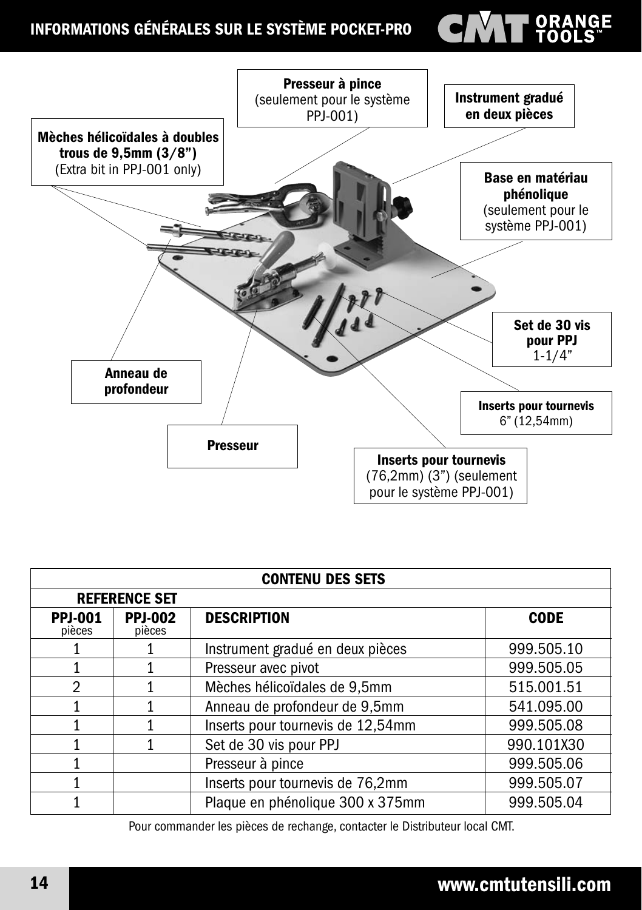### INFORMATIONS GÉNÉRALES SUR LE SYSTÈME POCKET-PRO

# ORANGE



| <b>CONTENU DES SETS</b>  |                          |                                   |             |
|--------------------------|--------------------------|-----------------------------------|-------------|
| <b>REFERENCE SET</b>     |                          |                                   |             |
| <b>PPJ-001</b><br>pièces | <b>PPJ-002</b><br>pièces | <b>DESCRIPTION</b>                | <b>CODE</b> |
|                          |                          | Instrument gradué en deux pièces  | 999.505.10  |
|                          |                          | Presseur avec pivot               | 999.505.05  |
| $\mathcal{P}$            |                          | Mèches hélicoïdales de 9,5mm      | 515.001.51  |
|                          |                          | Anneau de profondeur de 9,5mm     | 541.095.00  |
|                          |                          | Inserts pour tournevis de 12,54mm | 999.505.08  |
|                          |                          | Set de 30 vis pour PPJ            | 990.101X30  |
|                          |                          | Presseur à pince                  | 999.505.06  |
|                          |                          | Inserts pour tournevis de 76,2mm  | 999.505.07  |
|                          |                          | Plaque en phénolique 300 x 375mm  | 999.505.04  |

Pour commander les pièces de rechange, contacter le Distributeur local CMT.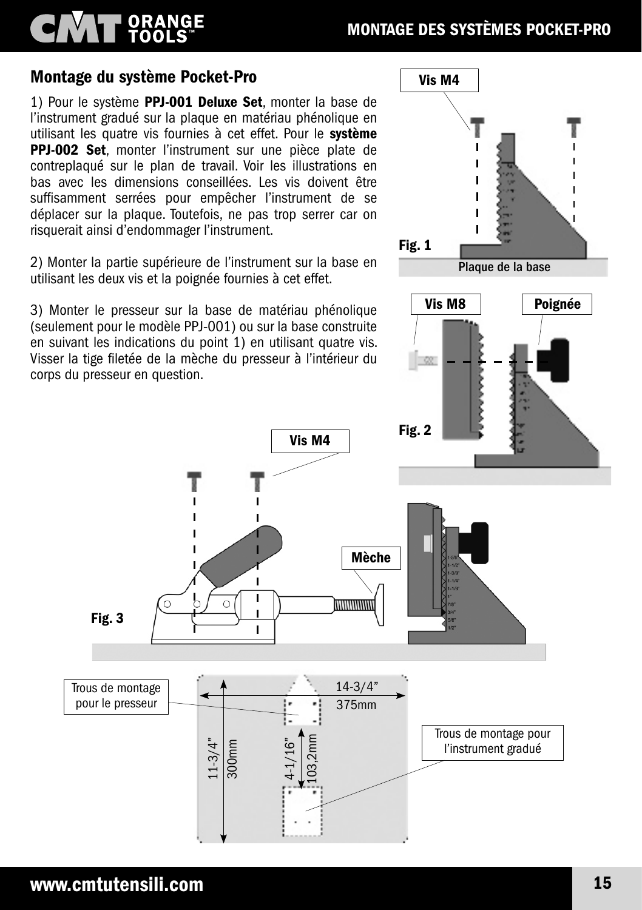# ORANGE<br>TOOLS

#### Montage du système Pocket-Pro

1) Pour le système PPJ-001 Deluxe Set, monter la base de l'instrument gradué sur la plaque en matériau phénolique en utilisant les quatre vis fournies à cet effet. Pour le système PPJ-002 Set, monter l'instrument sur une pièce plate de contreplaqué sur le plan de travail. Voir les illustrations en bas avec les dimensions conseillées. Les vis doivent être suffisamment serrées pour empêcher l'instrument de se déplacer sur la plaque. Toutefois, ne pas trop serrer car on risquerait ainsi d'endommager l'instrument.

2) Monter la partie supérieure de l'instrument sur la base en utilisant les deux vis et la poignée fournies à cet effet.

3) Monter le presseur sur la base de matériau phénolique (seulement pour le modèle PPJ-001) ou sur la base construite en suivant les indications du point 1) en utilisant quatre vis. Visser la tige filetée de la mèche du presseur à l'intérieur du corps du presseur en question.

 $11 - 3/4"$ 

300mm

ī

Ï ī

 $\mathbf{I}$ 

4-1/16"



Trous de montage pour le presseur

Fig. 3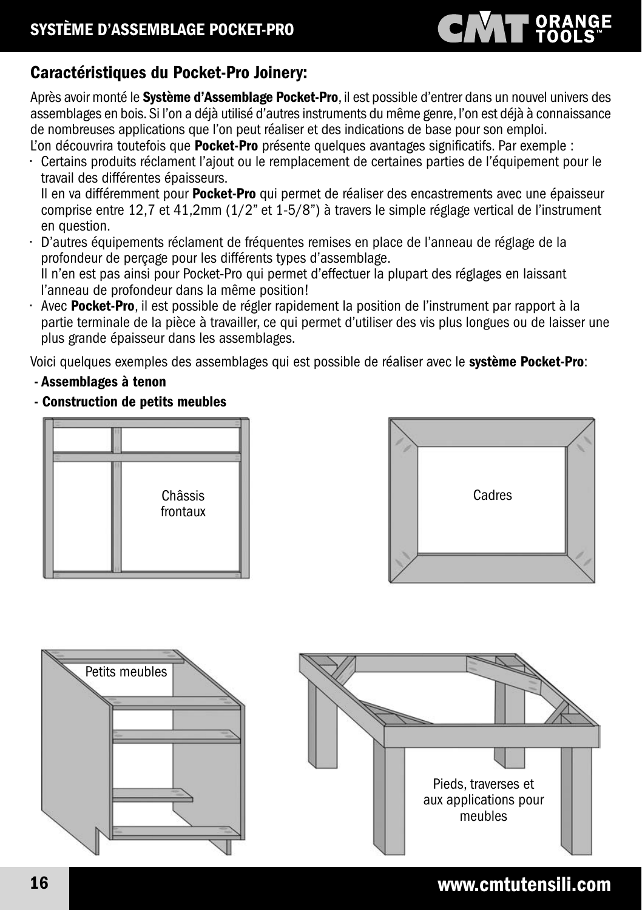# **CIVAT ORANGE**

### Caractéristiques du Pocket-Pro Joinery:

Après avoir monté le Système d'Assemblage Pocket-Pro, il est possible d'entrer dans un nouvel univers des assemblages en bois. Si l'on a déjà utilisé d'autres instruments du même genre, l'on est déjà à connaissance de nombreuses applications que l'on peut réaliser et des indications de base pour son emploi. L'on découvrira toutefois que **Pocket-Pro** présente quelques avantages significatifs. Par exemple :

• Certains produits réclament l'ajout ou le remplacement de certaines parties de l'équipement pour le travail des différentes épaisseurs.

Il en va différemment pour **Pocket-Pro** qui permet de réaliser des encastrements avec une épaisseur comprise entre 12,7 et 41,2mm (1/2" et 1-5/8") à travers le simple réglage vertical de l'instrument en question.<br>D'autres équi

• D'autres équipements réclament de fréquentes remises en place de l'anneau de réglage de la profondeur de perçage pour les différents types d'assemblage. Il n'en est pas ainsi pour Pocket-Pro qui permet d'effectuer la plupart des réglages en laissant

l'anneau de profondeur dans la même position!

• Avec Pocket-Pro, il est possible de régler rapidement la position de l'instrument par rapport à la partie terminale de la pièce à travailler, ce qui permet d'utiliser des vis plus longues ou de laisser une plus grande épaisseur dans les assemblages.

Voici quelques exemples des assemblages qui est possible de réaliser avec le système Pocket-Pro:

- Assemblages à tenon
- Construction de petits meubles







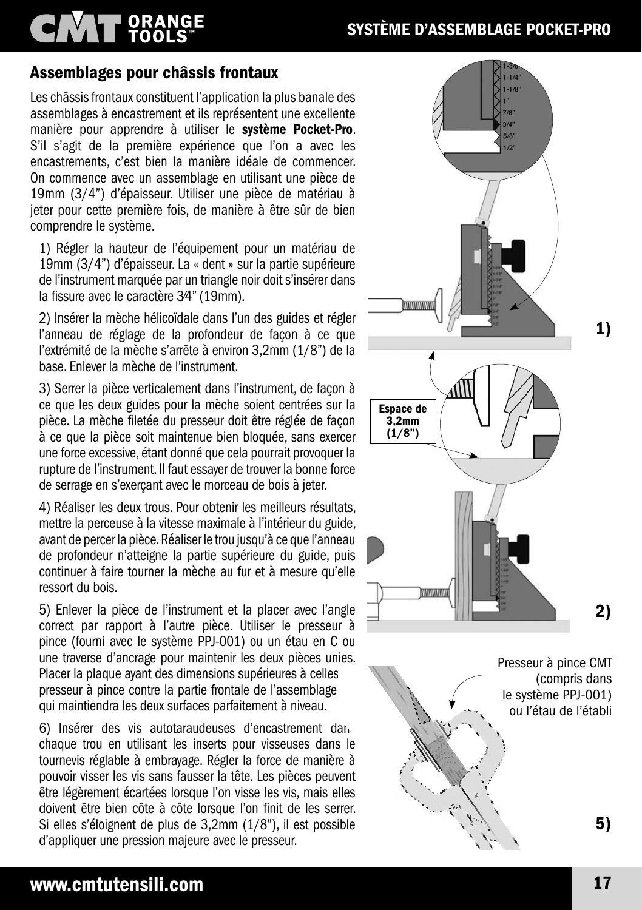# **CIVAT ORANGE**

### SYSTÈME D'ASSEMBLAGE POCKET-PRO

#### Assemblages pour châssis frontaux

Les châssis frontaux constituent l'application la plus banale des assemblages à encastrement et ils représentent une excellente manière pour apprendre à utiliser le système Pocket-Pro. S'il s'agit de la première expérience que l'on a avec les encastrements, c'est bien la manière idéale de commencer. On commence avec un assemblage en utilisant une pièce de 19mm (3/4") d'épaisseur. Utiliser une pièce de matériau à jeter pour cette première fois, de manière à être sûr de bien comprendre le système.

1) Régler la hauteur de l'équipement pour un matériau de 19mm (3/4") d'épaisseur. La « dent » sur la partie supérieure de l'instrument marquée par un triangle noir doit s'insérer dans la fissure avec le caractère 3⁄4" (19mm).

2) Insérer la mèche hélicoïdale dans l'un des guides et régler l'anneau de réglage de la profondeur de façon à ce que l'extrémité de la mèche s'arrête à environ 3,2mm (1/8") de la base. Enlever la mèche de l'instrument.

3) Serrer la pièce verticalement dans l'instrument, de façon à ce que les deux guides pour la mèche soient centrées sur la pièce. La mèche filetée du presseur doit être réglée de façon à ce que la pièce soit maintenue bien bloquée, sans exercer une force excessive, étant donné que cela pourrait provoquer la rupture de l'instrument. Il faut essayer de trouver la bonne force de serrage en s'exerçant avec le morceau de bois à jeter.

4) Réaliser les deux trous. Pour obtenir les meilleurs résultats, mettre la perceuse à la vitesse maximale à l'intérieur du guide, avant de percer la pièce. Réaliser le trou jusqu'à ce que l'anneau de profondeur n'atteigne la partie supérieure du guide, puis continuer à faire tourner la mèche au fur et à mesure qu'elle ressort du bois.

5) Enlever la pièce de l'instrument et la placer avec l'angle correct par rapport à l'autre pièce. Utiliser le presseur à pince (fourni avec le système PPJ-001) ou un étau en C ou une traverse d'ancrage pour maintenir les deux pièces unies. Placer la plaque ayant des dimensions supérieures à celles presseur à pince contre la partie frontale de l'assemblage qui maintiendra les deux surfaces parfaitement à niveau.

6) Insérer des vis autotaraudeuses d'encastrement dans chaque trou en utilisant les inserts pour visseuses dans le tournevis réglable à embrayage. Régler la force de manière à pouvoir visser les vis sans fausser la tête. Les pièces peuvent être légèrement écartées lorsque l'on visse les vis, mais elles doivent être bien côte à côte lorsque l'on finit de les serrer. Si elles s'éloignent de plus de 3,2mm (1/8"), il est possible d'appliquer une pression majeure avec le presseur.



5)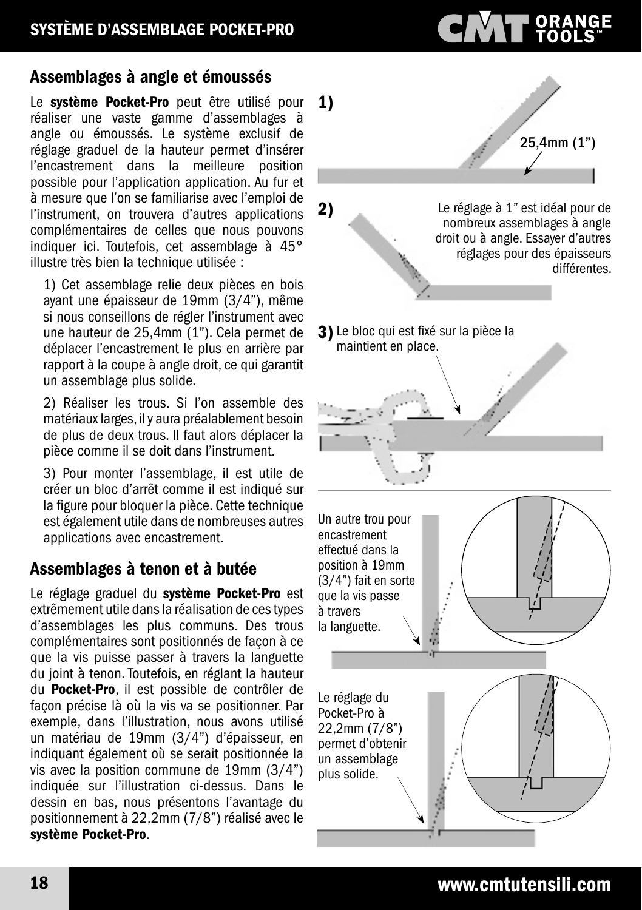# **CIMT ORANGE**

#### Assemblages à angle et émoussés

Le système Pocket-Pro peut être utilisé pour réaliser une vaste gamme d'assemblages à angle ou émoussés. Le système exclusif de réglage graduel de la hauteur permet d'insérer l'encastrement dans la meilleure position possible pour l'application application. Au fur et à mesure que l'on se familiarise avec l'emploi de l'instrument, on trouvera d'autres applications complémentaires de celles que nous pouvons indiquer ici. Toutefois, cet assemblage à 45° illustre très bien la technique utilisée :

1) Cet assemblage relie deux pièces en bois ayant une épaisseur de 19mm (3/4"), même si nous conseillons de régler l'instrument avec une hauteur de 25,4mm (1"). Cela permet de déplacer l'encastrement le plus en arrière par rapport à la coupe à angle droit, ce qui garantit un assemblage plus solide.

2) Réaliser les trous. Si l'on assemble des matériaux larges, il y aura préalablement besoin de plus de deux trous. Il faut alors déplacer la pièce comme il se doit dans l'instrument.

3) Pour monter l'assemblage, il est utile de créer un bloc d'arrêt comme il est indiqué sur la figure pour bloquer la pièce. Cette technique est également utile dans de nombreuses autres applications avec encastrement.

### Assemblages à tenon et à butée

Le réglage graduel du système Pocket-Pro est extrêmement utile dans la réalisation de ces types d'assemblages les plus communs. Des trous complémentaires sont positionnés de façon à ce que la vis puisse passer à travers la languette du joint à tenon. Toutefois, en réglant la hauteur du Pocket-Pro, il est possible de contrôler de façon précise là où la vis va se positionner. Par exemple, dans l'illustration, nous avons utilisé un matériau de 19mm (3/4") d'épaisseur, en indiquant également où se serait positionnée la vis avec la position commune de 19mm (3/4") indiquée sur l'illustration ci-dessus. Dans le dessin en bas, nous présentons l'avantage du positionnement à 22,2mm (7/8") réalisé avec le système Pocket-Pro.

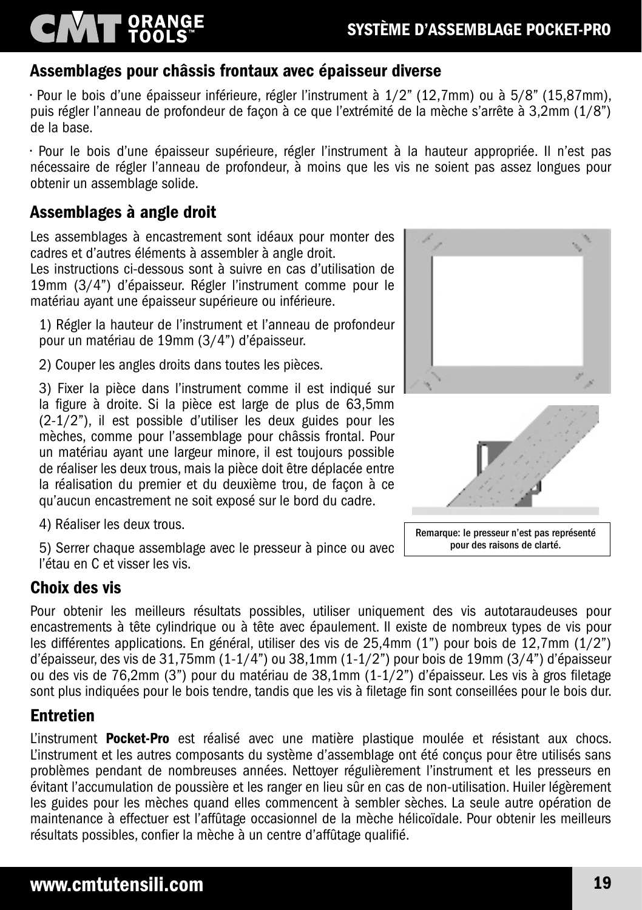#### Assemblages pour châssis frontaux avec épaisseur diverse

• Pour le bois d'une épaisseur inférieure, régler l'instrument à 1/2" (12,7mm) ou à 5/8" (15,87mm), puis régler l'anneau de profondeur de façon à ce que l'extrémité de la mèche s'arrête à 3,2mm (1/8") de la base.

• Pour le bois d'une épaisseur supérieure, régler l'instrument à la hauteur appropriée. Il n'est pas nécessaire de régler l'anneau de profondeur, à moins que les vis ne soient pas assez longues pour obtenir un assemblage solide.

#### Assemblages à angle droit

ORANGE

Les assemblages à encastrement sont idéaux pour monter des cadres et d'autres éléments à assembler à angle droit.

Les instructions ci-dessous sont à suivre en cas d'utilisation de 19mm (3/4") d'épaisseur. Régler l'instrument comme pour le matériau ayant une épaisseur supérieure ou inférieure.

1) Régler la hauteur de l'instrument et l'anneau de profondeur pour un matériau de 19mm (3/4") d'épaisseur.

2) Couper les angles droits dans toutes les pièces.

3) Fixer la pièce dans l'instrument comme il est indiqué sur la figure à droite. Si la pièce est large de plus de 63,5mm (2-1/2"), il est possible d'utiliser les deux guides pour les mèches, comme pour l'assemblage pour châssis frontal. Pour un matériau ayant une largeur minore, il est toujours possible de réaliser les deux trous, mais la pièce doit être déplacée entre la réalisation du premier et du deuxième trou, de façon à ce qu'aucun encastrement ne soit exposé sur le bord du cadre.

4) Réaliser les deux trous.

5) Serrer chaque assemblage avec le presseur à pince ou avec l'étau en C et visser les vis.

#### Choix des vis

Pour obtenir les meilleurs résultats possibles, utiliser uniquement des vis autotaraudeuses pour encastrements à tête cylindrique ou à tête avec épaulement. Il existe de nombreux types de vis pour les différentes applications. En général, utiliser des vis de 25,4mm (1") pour bois de 12,7mm (1/2") d'épaisseur, des vis de 31,75mm (1-1/4") ou 38,1mm (1-1/2") pour bois de 19mm (3/4") d'épaisseur ou des vis de 76,2mm (3") pour du matériau de 38,1mm (1-1/2") d'épaisseur. Les vis à gros filetage sont plus indiquées pour le bois tendre, tandis que les vis à filetage fin sont conseillées pour le bois dur.

#### Entretien

L'instrument Pocket-Pro est réalisé avec une matière plastique moulée et résistant aux chocs. L'instrument et les autres composants du système d'assemblage ont été conçus pour être utilisés sans problèmes pendant de nombreuses années. Nettoyer régulièrement l'instrument et les presseurs en évitant l'accumulation de poussière et les ranger en lieu sûr en cas de non-utilisation. Huiler légèrement les guides pour les mèches quand elles commencent à sembler sèches. La seule autre opération de maintenance à effectuer est l'affûtage occasionnel de la mèche hélicoïdale. Pour obtenir les meilleurs résultats possibles, confier la mèche à un centre d'affûtage qualifié.





Remarque: le presseur n'est pas représenté pour des raisons de clarté.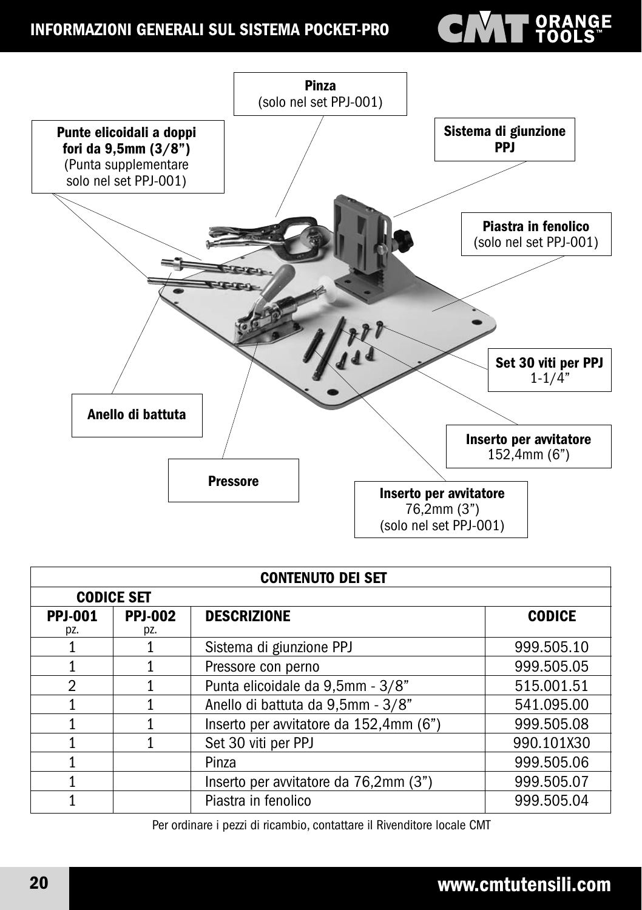#### INFORMAZIONI GENERALI SUL SISTEMA POCKET-PRO

# **ENTER ORANGE**



| <b>CONTENUTO DEI SET</b> |                       |                                        |               |  |
|--------------------------|-----------------------|----------------------------------------|---------------|--|
|                          | <b>CODICE SET</b>     |                                        |               |  |
| <b>PPJ-001</b><br>pz.    | <b>PPJ-002</b><br>pz. | <b>DESCRIZIONE</b>                     | <b>CODICE</b> |  |
|                          |                       | Sistema di giunzione PPJ               | 999.505.10    |  |
|                          |                       | Pressore con perno                     | 999.505.05    |  |
| $\mathfrak{D}$           |                       | Punta elicoidale da 9,5mm - 3/8"       | 515.001.51    |  |
|                          |                       | Anello di battuta da 9,5mm - 3/8"      | 541.095.00    |  |
|                          |                       | Inserto per avvitatore da 152,4mm (6") | 999.505.08    |  |
|                          |                       | Set 30 viti per PPJ                    | 990.101X30    |  |
|                          |                       | Pinza                                  | 999.505.06    |  |
|                          |                       | Inserto per avvitatore da 76,2mm (3")  | 999.505.07    |  |
|                          |                       | Piastra in fenolico                    | 999.505.04    |  |

Per ordinare i pezzi di ricambio, contattare il Rivenditore locale CMT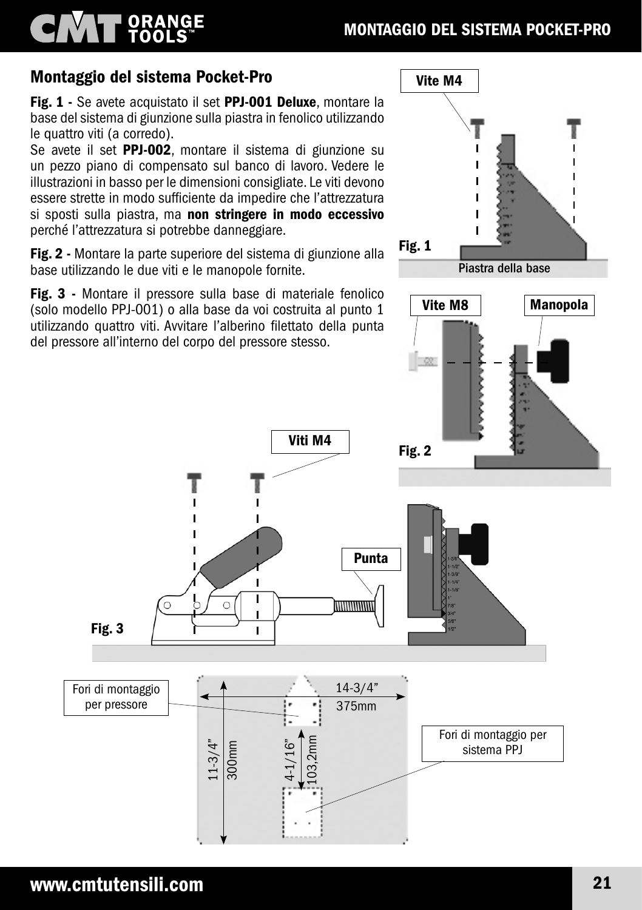#### MONTAGGIO DEL SISTEMA POCKET-PRO

# Montaggio del sistema Pocket-Pro

ORANGE<br>TOOLS

Fig. 1 - Se avete acquistato il set PPJ-001 Deluxe, montare la base del sistema di giunzione sulla piastra in fenolico utilizzando le quattro viti (a corredo).

Se avete il set PPJ-002, montare il sistema di giunzione su un pezzo piano di compensato sul banco di lavoro. Vedere le illustrazioni in basso per le dimensioni consigliate. Le viti devono essere strette in modo sufficiente da impedire che l'attrezzatura si sposti sulla piastra, ma non stringere in modo eccessivo perché l'attrezzatura si potrebbe danneggiare.

Fig. 2 - Montare la parte superiore del sistema di giunzione alla base utilizzando le due viti e le manopole fornite.

Fig. 3 - Montare il pressore sulla base di materiale fenolico (solo modello PPJ-001) o alla base da voi costruita al punto 1 utilizzando quattro viti. Avvitare l'alberino filettato della punta del pressore all'interno del corpo del pressore stesso.

 $1 - 3/4"$ 

300mm

4-1/16"

103,2mm

Viti M4

Ï

Ï Ī

L



sistema PPJ

Fori di montaggio per pressore

Fig. 3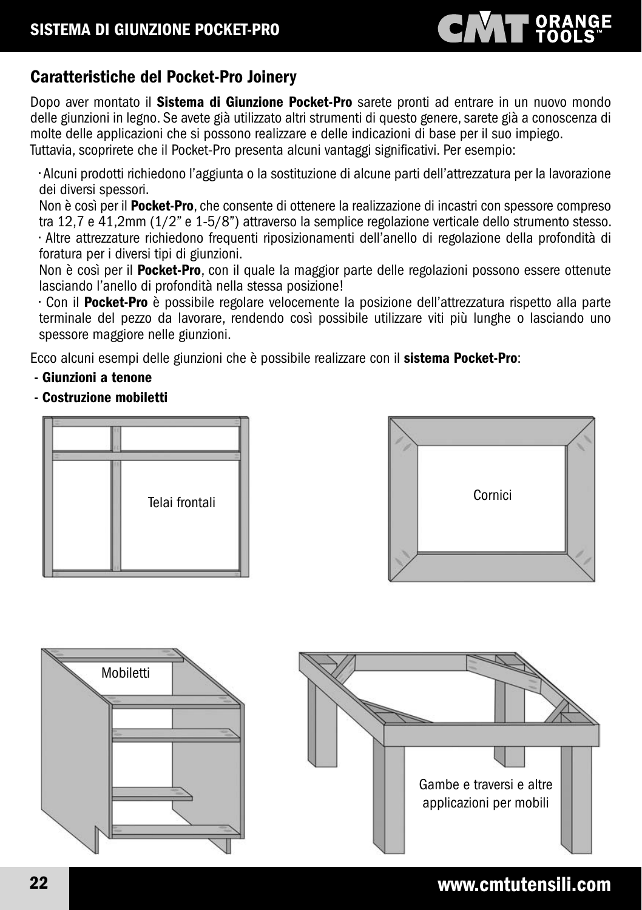# **CIVAT ORANGE**

### Caratteristiche del Pocket-Pro Joinery

Dopo aver montato il Sistema di Giunzione Pocket-Pro sarete pronti ad entrare in un nuovo mondo delle giunzioni in legno. Se avete già utilizzato altri strumenti di questo genere, sarete già a conoscenza di molte delle applicazioni che si possono realizzare e delle indicazioni di base per il suo impiego. Tuttavia, scoprirete che il Pocket-Pro presenta alcuni vantaggi significativi. Per esempio:

• Alcuni prodotti richiedono l'aggiunta o la sostituzione di alcune parti dell'attrezzatura per la lavorazione dei diversi spessori.

Non è così per il Pocket-Pro, che consente di ottenere la realizzazione di incastri con spessore compreso tra 12,7 e 41,2mm (1/2" e 1-5/8") attraverso la semplice regolazione verticale dello strumento stesso. • Altre attrezzature richiedono frequenti riposizionamenti dell'anello di regolazione della profondità di foratura per i diversi tipi di giunzioni.

Non è così per il Pocket-Pro, con il quale la maggior parte delle regolazioni possono essere ottenute lasciando l'anello di profondità nella stessa posizione!

• Con il Pocket-Pro è possibile regolare velocemente la posizione dell'attrezzatura rispetto alla parte terminale del pezzo da lavorare, rendendo così possibile utilizzare viti più lunghe o lasciando uno spessore maggiore nelle giunzioni.

Ecco alcuni esempi delle giunzioni che è possibile realizzare con il sistema Pocket-Pro:

- Giunzioni a tenone
- Costruzione mobiletti







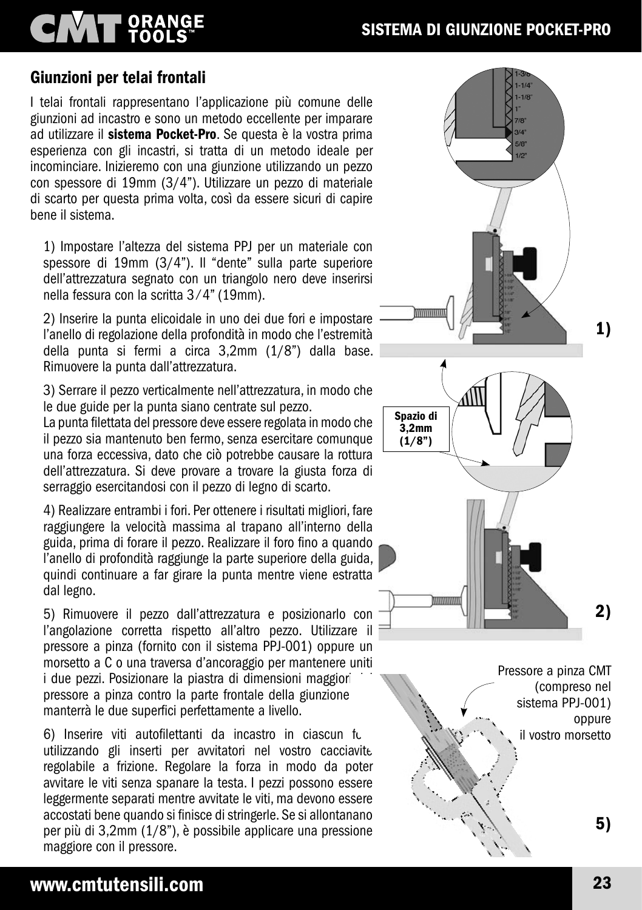# **CMT** ORANGE

### Giunzioni per telai frontali

I telai frontali rappresentano l'applicazione più comune delle giunzioni ad incastro e sono un metodo eccellente per imparare ad utilizzare il sistema Pocket-Pro. Se questa è la vostra prima esperienza con gli incastri, si tratta di un metodo ideale per incominciare. Inizieremo con una giunzione utilizzando un pezzo con spessore di 19mm (3/4"). Utilizzare un pezzo di materiale di scarto per questa prima volta, così da essere sicuri di capire bene il sistema.

1) Impostare l'altezza del sistema PPJ per un materiale con spessore di 19mm (3/4"). Il "dente" sulla parte superiore dell'attrezzatura segnato con un triangolo nero deve inserirsi nella fessura con la scritta 3 ⁄ 4" (19mm).

2) Inserire la punta elicoidale in uno dei due fori e impostare l'anello di regolazione della profondità in modo che l'estremità della punta si fermi a circa 3,2mm (1/8") dalla base. Rimuovere la punta dall'attrezzatura.

3) Serrare il pezzo verticalmente nell'attrezzatura, in modo che le due guide per la punta siano centrate sul pezzo.

La punta filettata del pressore deve essere regolata in modo che il pezzo sia mantenuto ben fermo, senza esercitare comunque una forza eccessiva, dato che ciò potrebbe causare la rottura dell'attrezzatura. Si deve provare a trovare la giusta forza di serraggio esercitandosi con il pezzo di legno di scarto.

4) Realizzare entrambi i fori. Per ottenere i risultati migliori, fare raggiungere la velocità massima al trapano all'interno della guida, prima di forare il pezzo. Realizzare il foro fino a quando l'anello di profondità raggiunge la parte superiore della guida, quindi continuare a far girare la punta mentre viene estratta dal legno.

5) Rimuovere il pezzo dall'attrezzatura e posizionarlo con l'angolazione corretta rispetto all'altro pezzo. Utilizzare il pressore a pinza (fornito con il sistema PPJ-001) oppure un morsetto a C o una traversa d'ancoraggio per mantenere uniti i due pezzi. Posizionare la piastra di dimensioni maggiori pressore a pinza contro la parte frontale della giunzione manterrà le due superfici perfettamente a livello.

6) Inserire viti autofilettanti da incastro in ciascun fu utilizzando gli inserti per avvitatori nel vostro cacciavite regolabile a frizione. Regolare la forza in modo da poter avvitare le viti senza spanare la testa. I pezzi possono essere leggermente separati mentre avvitate le viti, ma devono essere accostati bene quando si finisce di stringerle. Se si allontanano per più di 3,2mm (1/8"), è possibile applicare una pressione maggiore con il pressore.

#### www.cmtutensili.com 23



Pressore a pinza CMT (compreso nel sistema PPJ-001) oppure il vostro morsetto

5)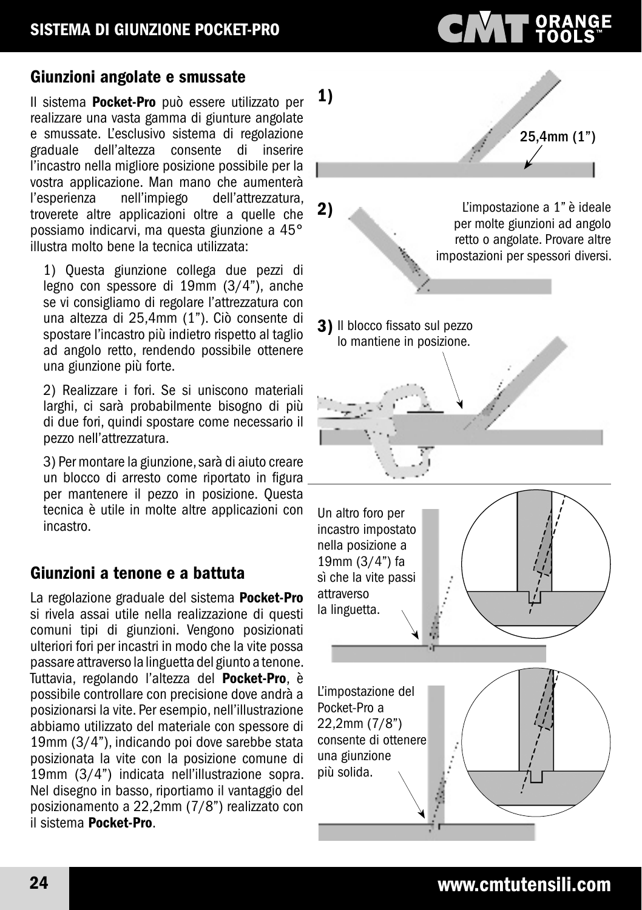#### Giunzioni angolate e smussate

Il sistema Pocket-Pro può essere utilizzato per realizzare una vasta gamma di giunture angolate e smussate. L'esclusivo sistema di regolazione graduale dell'altezza consente di l'incastro nella migliore posizione possibile per la vostra applicazione. Man mano che aumenterà<br>l'esperienza pell'impiego dell'attrezzatura. dell'attrezzatura, troverete altre applicazioni oltre a quelle che possiamo indicarvi, ma questa giunzione a 45° illustra molto bene la tecnica utilizzata:

1) Questa giunzione collega due pezzi di legno con spessore di 19mm (3/4"), anche se vi consigliamo di regolare l'attrezzatura con una altezza di 25,4mm (1"). Ciò consente di spostare l'incastro più indietro rispetto al taglio ad angolo retto, rendendo possibile ottenere una giunzione più forte.

2) Realizzare i fori. Se si uniscono materiali larghi, ci sarà probabilmente bisogno di più di due fori, quindi spostare come necessario il pezzo nell'attrezzatura.

3) Per montare la giunzione, sarà di aiuto creare un blocco di arresto come riportato in figura per mantenere il pezzo in posizione. Questa tecnica è utile in molte altre applicazioni con incastro.

#### Giunzioni a tenone e a battuta

La regolazione graduale del sistema Pocket-Pro si rivela assai utile nella realizzazione di questi comuni tipi di giunzioni. Vengono posizionati ulteriori fori per incastri in modo che la vite possa passare attraverso la linguetta del giunto a tenone. Tuttavia, regolando l'altezza del Pocket-Pro, è possibile controllare con precisione dove andrà a posizionarsi la vite. Per esempio, nell'illustrazione abbiamo utilizzato del materiale con spessore di 19mm (3/4"), indicando poi dove sarebbe stata posizionata la vite con la posizione comune di 19mm (3/4") indicata nell'illustrazione sopra. Nel disegno in basso, riportiamo il vantaggio del posizionamento a 22,2mm (7/8") realizzato con il sistema Pocket-Pro.



**CMT** ORANGE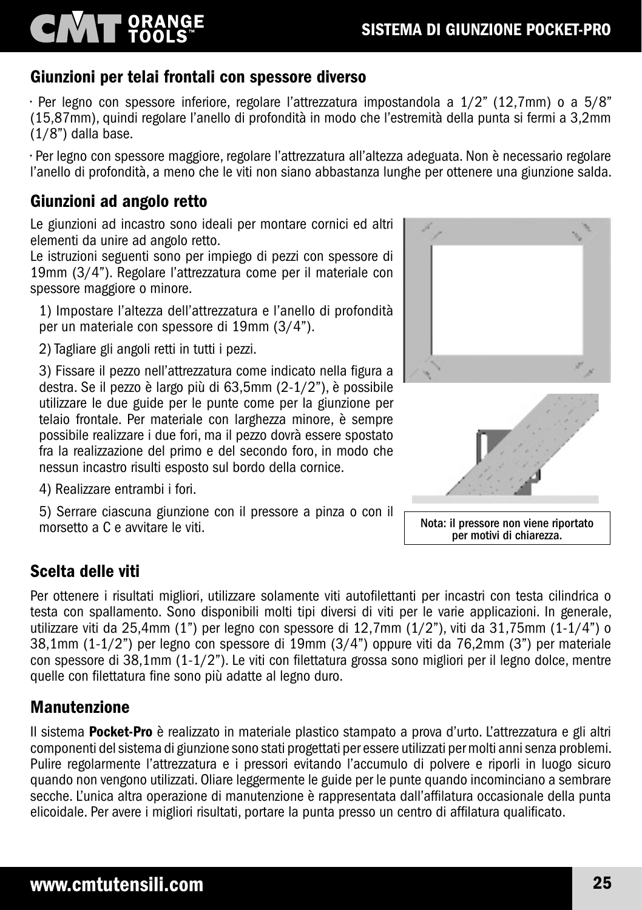# SISTEMA DI GIUNZIONE POCKET-PRO

#### Giunzioni per telai frontali con spessore diverso

• Per legno con spessore inferiore, regolare l'attrezzatura impostandola a 1/2" (12,7mm) o a 5/8" (15,87mm), quindi regolare l'anello di profondità in modo che l'estremità della punta si fermi a 3,2mm (1/8") dalla base.

• Per legno con spessore maggiore, regolare l'attrezzatura all'altezza adeguata. Non è necessario regolare l'anello di profondità, a meno che le viti non siano abbastanza lunghe per ottenere una giunzione salda.

#### Giunzioni ad angolo retto

**NAT ORANGE** 

Le giunzioni ad incastro sono ideali per montare cornici ed altri elementi da unire ad angolo retto.

Le istruzioni seguenti sono per impiego di pezzi con spessore di 19mm (3/4"). Regolare l'attrezzatura come per il materiale con spessore maggiore o minore.

1) Impostare l'altezza dell'attrezzatura e l'anello di profondità per un materiale con spessore di 19mm (3/4").

2) Tagliare gli angoli retti in tutti i pezzi.

3) Fissare il pezzo nell'attrezzatura come indicato nella figura a destra. Se il pezzo è largo più di 63,5mm (2-1/2"), è possibile utilizzare le due guide per le punte come per la giunzione per telaio frontale. Per materiale con larghezza minore, è sempre possibile realizzare i due fori, ma il pezzo dovrà essere spostato fra la realizzazione del primo e del secondo foro, in modo che nessun incastro risulti esposto sul bordo della cornice.

4) Realizzare entrambi i fori.

5) Serrare ciascuna giunzione con il pressore a pinza o con il morsetto a C e avvitare le viti.

### Scelta delle viti

Per ottenere i risultati migliori, utilizzare solamente viti autofilettanti per incastri con testa cilindrica o testa con spallamento. Sono disponibili molti tipi diversi di viti per le varie applicazioni. In generale, utilizzare viti da 25,4mm (1") per legno con spessore di 12,7mm (1/2"), viti da 31,75mm (1-1/4") o 38,1mm (1-1/2") per legno con spessore di 19mm (3/4") oppure viti da 76,2mm (3") per materiale con spessore di 38,1mm (1-1/2"). Le viti con filettatura grossa sono migliori per il legno dolce, mentre quelle con filettatura fine sono più adatte al legno duro.

### **Manutenzione**

Il sistema Pocket-Pro è realizzato in materiale plastico stampato a prova d'urto. L'attrezzatura e gli altri componenti del sistema di giunzione sono stati progettati per essere utilizzati per molti anni senza problemi. Pulire regolarmente l'attrezzatura e i pressori evitando l'accumulo di polvere e riporli in luogo sicuro quando non vengono utilizzati. Oliare leggermente le guide per le punte quando incominciano a sembrare secche. L'unica altra operazione di manutenzione è rappresentata dall'affilatura occasionale della punta elicoidale. Per avere i migliori risultati, portare la punta presso un centro di affilatura qualificato.





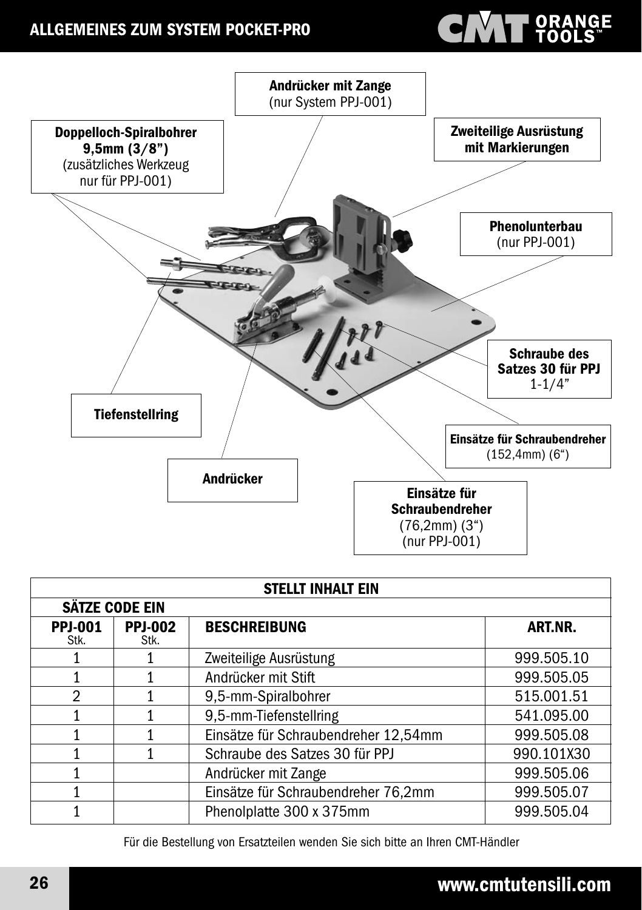### ALLGEMEINES ZUM SYSTEM POCKET-PRO

# **CANT PRANGE**



| <b>STELLT INHALT EIN</b> |                        |                                      |            |
|--------------------------|------------------------|--------------------------------------|------------|
| SÄTZE CODE EIN           |                        |                                      |            |
| <b>PPJ-001</b><br>Stk.   | <b>PPJ-002</b><br>Stk. | <b>BESCHREIBUNG</b>                  | ART.NR.    |
|                          |                        | Zweiteilige Ausrüstung               | 999.505.10 |
|                          |                        | Andrücker mit Stift                  | 999.505.05 |
| $\mathfrak{D}$           |                        | 9,5-mm-Spiralbohrer                  | 515.001.51 |
|                          |                        | 9,5-mm-Tiefenstellring               | 541.095.00 |
|                          |                        | Einsätze für Schraubendreher 12,54mm | 999.505.08 |
|                          |                        | Schraube des Satzes 30 für PPJ       | 990.101X30 |
|                          |                        | Andrücker mit Zange                  | 999.505.06 |
|                          |                        | Einsätze für Schraubendreher 76,2mm  | 999.505.07 |
|                          |                        | Phenolplatte 300 x 375mm             | 999.505.04 |

Für die Bestellung von Ersatzteilen wenden Sie sich bitte an Ihren CMT-Händler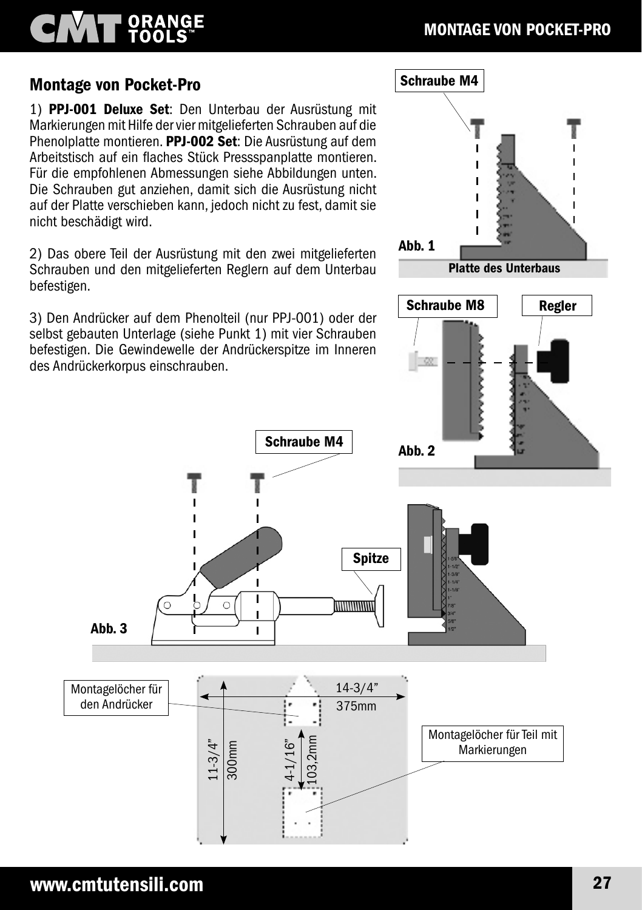# **T ORANGE**

#### Montage von Pocket-Pro

1) PPJ-001 Deluxe Set: Den Unterbau der Ausrüstung mit Markierungen mit Hilfe der vier mitgelieferten Schrauben auf die Phenolplatte montieren. PPJ-002 Set: Die Ausrüstung auf dem Arbeitstisch auf ein flaches Stück Pressspanplatte montieren. Für die empfohlenen Abmessungen siehe Abbildungen unten. Die Schrauben gut anziehen, damit sich die Ausrüstung nicht auf der Platte verschieben kann, jedoch nicht zu fest, damit sie nicht beschädigt wird.

2) Das obere Teil der Ausrüstung mit den zwei mitgelieferten Schrauben und den mitgelieferten Reglern auf dem Unterbau befestigen.

3) Den Andrücker auf dem Phenolteil (nur PPJ-001) oder der selbst gebauten Unterlage (siehe Punkt 1) mit vier Schrauben befestigen. Die Gewindewelle der Andrückerspitze im Inneren des Andrückerkorpus einschrauben.

 $1 - 3/4"$ 

300mm

Ī

I

4-1/16"

103,2mm



Montagelöcher für den Andrücker

Abb. 3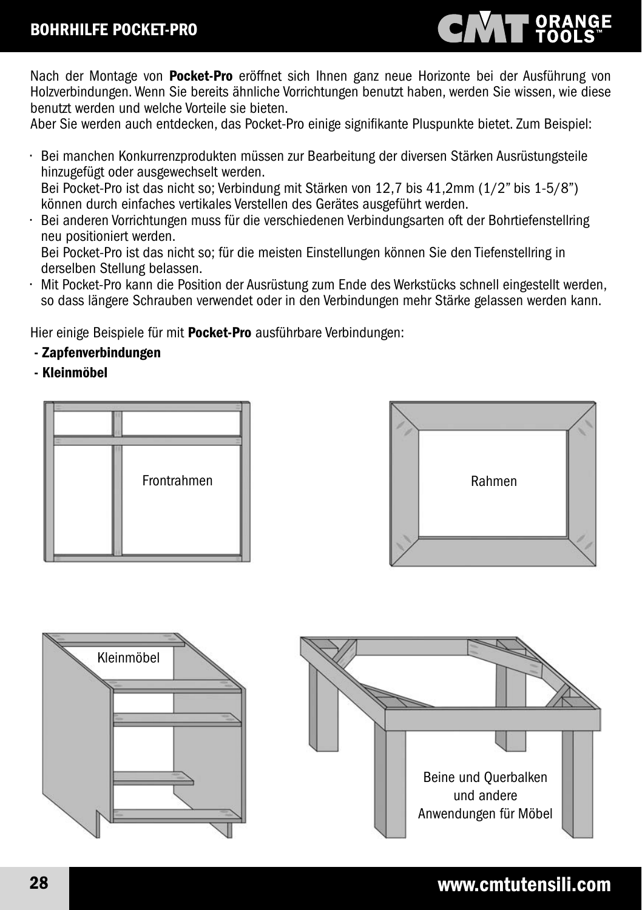

Nach der Montage von Pocket-Pro eröffnet sich Ihnen ganz neue Horizonte bei der Ausführung von Holzverbindungen. Wenn Sie bereits ähnliche Vorrichtungen benutzt haben, werden Sie wissen, wie diese benutzt werden und welche Vorteile sie bieten.

Aber Sie werden auch entdecken, das Pocket-Pro einige signifikante Pluspunkte bietet. Zum Beispiel:

• Bei manchen Konkurrenzprodukten müssen zur Bearbeitung der diversen Stärken Ausrüstungsteile hinzugefügt oder ausgewechselt werden. Bei Pocket-Pro ist das nicht so; Verbindung mit Stärken von 12,7 bis 41,2mm (1/2" bis 1-5/8")

können durch einfaches vertikales Verstellen des Gerätes ausgeführt werden.

• Bei anderen Vorrichtungen muss für die verschiedenen Verbindungsarten oft der Bohrtiefenstellring neu positioniert werden.

 Bei Pocket-Pro ist das nicht so; für die meisten Einstellungen können Sie den Tiefenstellring in derselben Stellung belassen.

• Mit Pocket-Pro kann die Position der Ausrüstung zum Ende des Werkstücks schnell eingestellt werden, so dass längere Schrauben verwendet oder in den Verbindungen mehr Stärke gelassen werden kann.

Hier einige Beispiele für mit Pocket-Pro ausführbare Verbindungen:

- Zapfenverbindungen
- Kleinmöbel







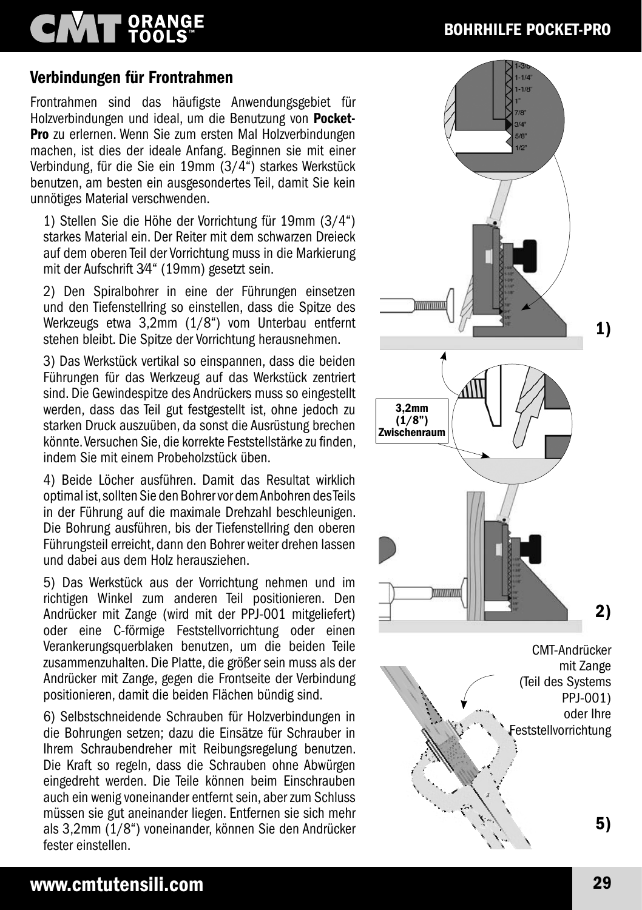# **CIVAT ORANGE**

### BOHRHILFE POCKET-PRO

#### Verbindungen für Frontrahmen

Frontrahmen sind das häufigste Anwendungsgebiet für Holzverbindungen und ideal, um die Benutzung von Pocket-Pro zu erlernen. Wenn Sie zum ersten Mal Holzverbindungen machen, ist dies der ideale Anfang. Beginnen sie mit einer Verbindung, für die Sie ein 19mm (3/4") starkes Werkstück benutzen, am besten ein ausgesondertes Teil, damit Sie kein unnötiges Material verschwenden.

1) Stellen Sie die Höhe der Vorrichtung für 19mm (3/4") starkes Material ein. Der Reiter mit dem schwarzen Dreieck auf dem oberen Teil der Vorrichtung muss in die Markierung mit der Aufschrift 3⁄4" (19mm) gesetzt sein.

2) Den Spiralbohrer in eine der Führungen einsetzen und den Tiefenstellring so einstellen, dass die Spitze des Werkzeugs etwa 3,2mm (1/8") vom Unterbau entfernt stehen bleibt. Die Spitze der Vorrichtung herausnehmen.

3) Das Werkstück vertikal so einspannen, dass die beiden Führungen für das Werkzeug auf das Werkstück zentriert sind. Die Gewindespitze des Andrückers muss so eingestellt werden, dass das Teil gut festgestellt ist, ohne jedoch zu starken Druck auszuüben, da sonst die Ausrüstung brechen könnte. Versuchen Sie, die korrekte Feststellstärke zu finden, indem Sie mit einem Probeholzstück üben.

4) Beide Löcher ausführen. Damit das Resultat wirklich optimal ist, sollten Sie den Bohrer vor dem Anbohren des Teils in der Führung auf die maximale Drehzahl beschleunigen. Die Bohrung ausführen, bis der Tiefenstellring den oberen Führungsteil erreicht, dann den Bohrer weiter drehen lassen und dabei aus dem Holz herausziehen.

5) Das Werkstück aus der Vorrichtung nehmen und im richtigen Winkel zum anderen Teil positionieren. Den Andrücker mit Zange (wird mit der PPJ-001 mitgeliefert) oder eine C-förmige Feststellvorrichtung oder einen Verankerungsquerblaken benutzen, um die beiden Teile zusammenzuhalten. Die Platte, die größer sein muss als der Andrücker mit Zange, gegen die Frontseite der Verbindung positionieren, damit die beiden Flächen bündig sind.

6) Selbstschneidende Schrauben für Holzverbindungen in die Bohrungen setzen; dazu die Einsätze für Schrauber in Ihrem Schraubendreher mit Reibungsregelung benutzen. Die Kraft so regeln, dass die Schrauben ohne Abwürgen eingedreht werden. Die Teile können beim Einschrauben auch ein wenig voneinander entfernt sein, aber zum Schluss müssen sie gut aneinander liegen. Entfernen sie sich mehr als 3,2mm (1/8") voneinander, können Sie den Andrücker fester einstellen.

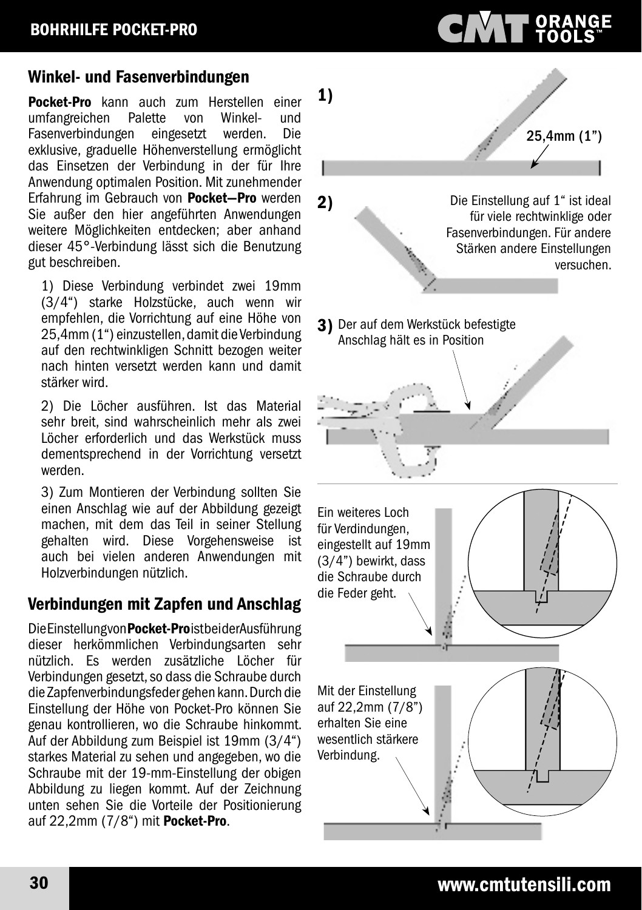#### Winkel- und Fasenverbindungen

**Pocket-Pro** kann auch zum Herstellen einer<br>umfangreichen Palette von Winkel- und umfangreichen Palette von Winkel- und<br>Fasenverbindungen eingesetzt werden. Die Fasenverbindungen exklusive, graduelle Höhenverstellung ermöglicht das Einsetzen der Verbindung in der für Ihre Anwendung optimalen Position. Mit zunehmender Erfahrung im Gebrauch von Pocket—Pro werden Sie außer den hier angeführten Anwendungen weitere Möglichkeiten entdecken; aber anhand dieser 45°-Verbindung lässt sich die Benutzung gut beschreiben.

1) Diese Verbindung verbindet zwei 19mm (3/4") starke Holzstücke, auch wenn wir empfehlen, die Vorrichtung auf eine Höhe von 25,4mm (1") einzustellen, damit die Verbindung auf den rechtwinkligen Schnitt bezogen weiter nach hinten versetzt werden kann und damit stärker wird.

2) Die Löcher ausführen. Ist das Material sehr breit, sind wahrscheinlich mehr als zwei Löcher erforderlich und das Werkstück muss dementsprechend in der Vorrichtung versetzt werden.

3) Zum Montieren der Verbindung sollten Sie einen Anschlag wie auf der Abbildung gezeigt machen, mit dem das Teil in seiner Stellung gehalten wird. Diese Vorgehensweise ist auch bei vielen anderen Anwendungen mit Holzverbindungen nützlich.

#### Verbindungen mit Zapfen und Anschlag

Die Einstellung von Pocket-Proist bei der Ausführung dieser herkömmlichen Verbindungsarten sehr nützlich. Es werden zusätzliche Löcher für Verbindungen gesetzt, so dass die Schraube durch die Zapfenverbindungsfeder gehen kann. Durch die Einstellung der Höhe von Pocket-Pro können Sie genau kontrollieren, wo die Schraube hinkommt. Auf der Abbildung zum Beispiel ist 19mm (3/4") starkes Material zu sehen und angegeben, wo die Schraube mit der 19-mm-Einstellung der obigen Abbildung zu liegen kommt. Auf der Zeichnung unten sehen Sie die Vorteile der Positionierung auf 22,2mm (7/8") mit Pocket-Pro.

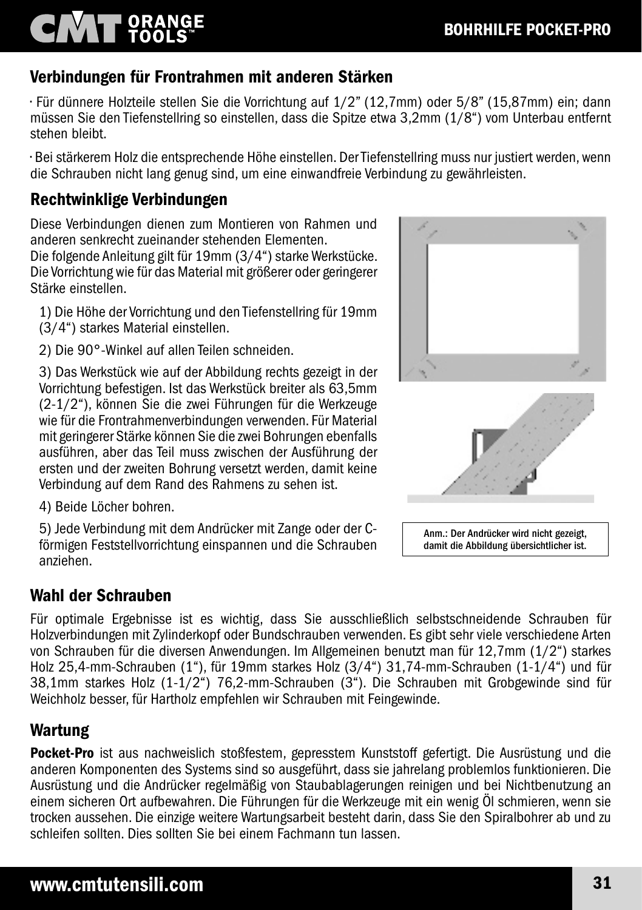# **T ORANGE**

### Verbindungen für Frontrahmen mit anderen Stärken

• Für dünnere Holzteile stellen Sie die Vorrichtung auf 1/2" (12,7mm) oder 5/8" (15,87mm) ein; dann müssen Sie den Tiefenstellring so einstellen, dass die Spitze etwa 3,2mm (1/8") vom Unterbau entfernt stehen bleibt.

• Bei stärkerem Holz die entsprechende Höhe einstellen. Der Tiefenstellring muss nur justiert werden, wenn die Schrauben nicht lang genug sind, um eine einwandfreie Verbindung zu gewährleisten.

### Rechtwinklige Verbindungen

Diese Verbindungen dienen zum Montieren von Rahmen und anderen senkrecht zueinander stehenden Elementen. Die folgende Anleitung gilt für 19mm (3/4") starke Werkstücke. Die Vorrichtung wie für das Material mit größerer oder geringerer Stärke einstellen.

1) Die Höhe der Vorrichtung und den Tiefenstellring für 19mm (3/4") starkes Material einstellen.

2) Die 90°-Winkel auf allen Teilen schneiden.

3) Das Werkstück wie auf der Abbildung rechts gezeigt in der Vorrichtung befestigen. Ist das Werkstück breiter als 63,5mm (2-1/2"), können Sie die zwei Führungen für die Werkzeuge wie für die Frontrahmenverbindungen verwenden. Für Material mit geringerer Stärke können Sie die zwei Bohrungen ebenfalls ausführen, aber das Teil muss zwischen der Ausführung der ersten und der zweiten Bohrung versetzt werden, damit keine Verbindung auf dem Rand des Rahmens zu sehen ist.

4) Beide Löcher bohren.

5) Jede Verbindung mit dem Andrücker mit Zange oder der Cförmigen Feststellvorrichtung einspannen und die Schrauben anziehen.

### Wahl der Schrauben

Für optimale Ergebnisse ist es wichtig, dass Sie ausschließlich selbstschneidende Schrauben für Holzverbindungen mit Zylinderkopf oder Bundschrauben verwenden. Es gibt sehr viele verschiedene Arten von Schrauben für die diversen Anwendungen. Im Allgemeinen benutzt man für 12,7mm (1/2") starkes Holz 25,4-mm-Schrauben (1"), für 19mm starkes Holz (3/4") 31,74-mm-Schrauben (1-1/4") und für 38,1mm starkes Holz (1-1/2") 76,2-mm-Schrauben (3"). Die Schrauben mit Grobgewinde sind für Weichholz besser, für Hartholz empfehlen wir Schrauben mit Feingewinde.

### Wartung

Pocket-Pro ist aus nachweislich stoßfestem, gepresstem Kunststoff gefertigt. Die Ausrüstung und die anderen Komponenten des Systems sind so ausgeführt, dass sie jahrelang problemlos funktionieren. Die Ausrüstung und die Andrücker regelmäßig von Staubablagerungen reinigen und bei Nichtbenutzung an einem sicheren Ort aufbewahren. Die Führungen für die Werkzeuge mit ein wenig Öl schmieren, wenn sie trocken aussehen. Die einzige weitere Wartungsarbeit besteht darin, dass Sie den Spiralbohrer ab und zu schleifen sollten. Dies sollten Sie bei einem Fachmann tun lassen.